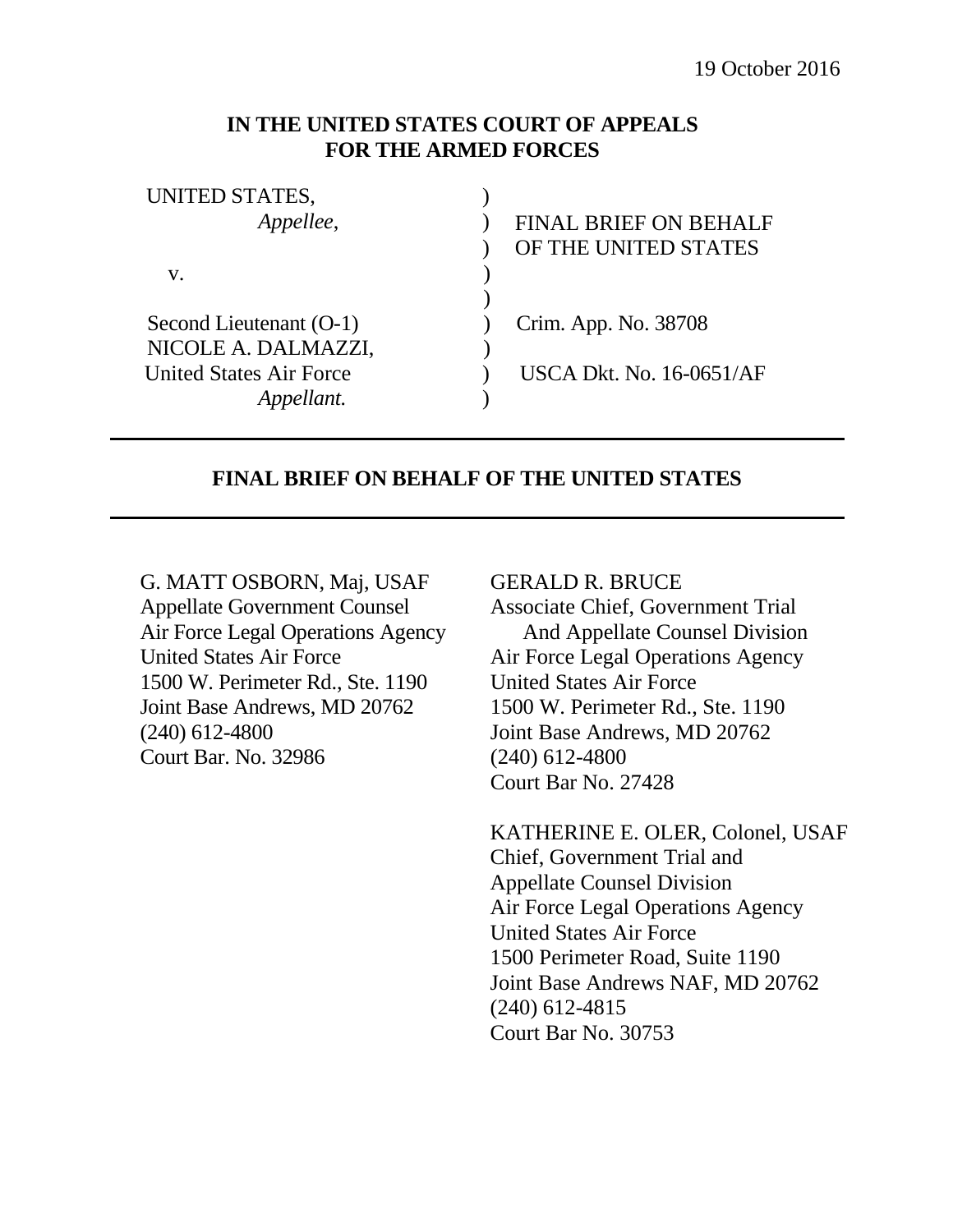### **IN THE UNITED STATES COURT OF APPEALS FOR THE ARMED FORCES**

| UNITED STATES,                 |                                 |
|--------------------------------|---------------------------------|
| Appellee,                      | <b>FINAL BRIEF ON BEHALF</b>    |
|                                | OF THE UNITED STATES            |
| V.                             |                                 |
|                                |                                 |
| Second Lieutenant (O-1)        | Crim. App. No. 38708            |
| NICOLE A. DALMAZZI,            |                                 |
| <b>United States Air Force</b> | <b>USCA Dkt. No. 16-0651/AF</b> |
|                                |                                 |
|                                |                                 |

### **FINAL BRIEF ON BEHALF OF THE UNITED STATES**

G. MATT OSBORN, Maj, USAF Appellate Government Counsel Air Force Legal Operations Agency United States Air Force 1500 W. Perimeter Rd., Ste. 1190 Joint Base Andrews, MD 20762 (240) 612-4800 Court Bar. No. 32986

#### GERALD R. BRUCE

Associate Chief, Government Trial And Appellate Counsel Division Air Force Legal Operations Agency United States Air Force 1500 W. Perimeter Rd., Ste. 1190 Joint Base Andrews, MD 20762 (240) 612-4800 Court Bar No. 27428

KATHERINE E. OLER, Colonel, USAF Chief, Government Trial and Appellate Counsel Division Air Force Legal Operations Agency United States Air Force 1500 Perimeter Road, Suite 1190 Joint Base Andrews NAF, MD 20762 (240) 612-4815 Court Bar No. 30753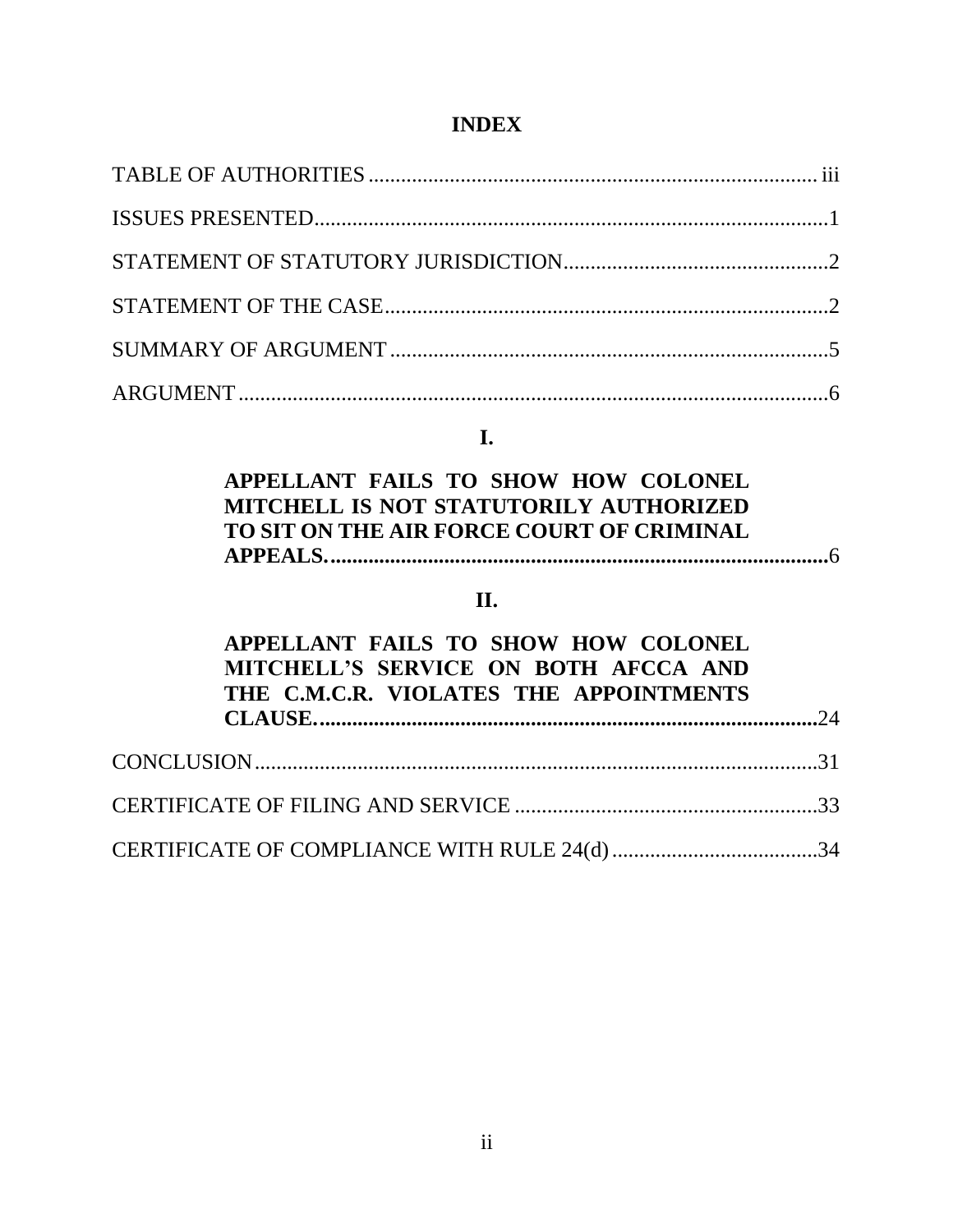# **INDEX**

# **I.**

| APPELLANT FAILS TO SHOW HOW COLONEL       |  |
|-------------------------------------------|--|
| MITCHELL IS NOT STATUTORILY AUTHORIZED    |  |
| TO SIT ON THE AIR FORCE COURT OF CRIMINAL |  |
|                                           |  |

# **II.**

| APPELLANT FAILS TO SHOW HOW COLONEL<br>MITCHELL'S SERVICE ON BOTH AFCCA AND<br>THE C.M.C.R. VIOLATES THE APPOINTMENTS |  |
|-----------------------------------------------------------------------------------------------------------------------|--|
|                                                                                                                       |  |
|                                                                                                                       |  |
|                                                                                                                       |  |
|                                                                                                                       |  |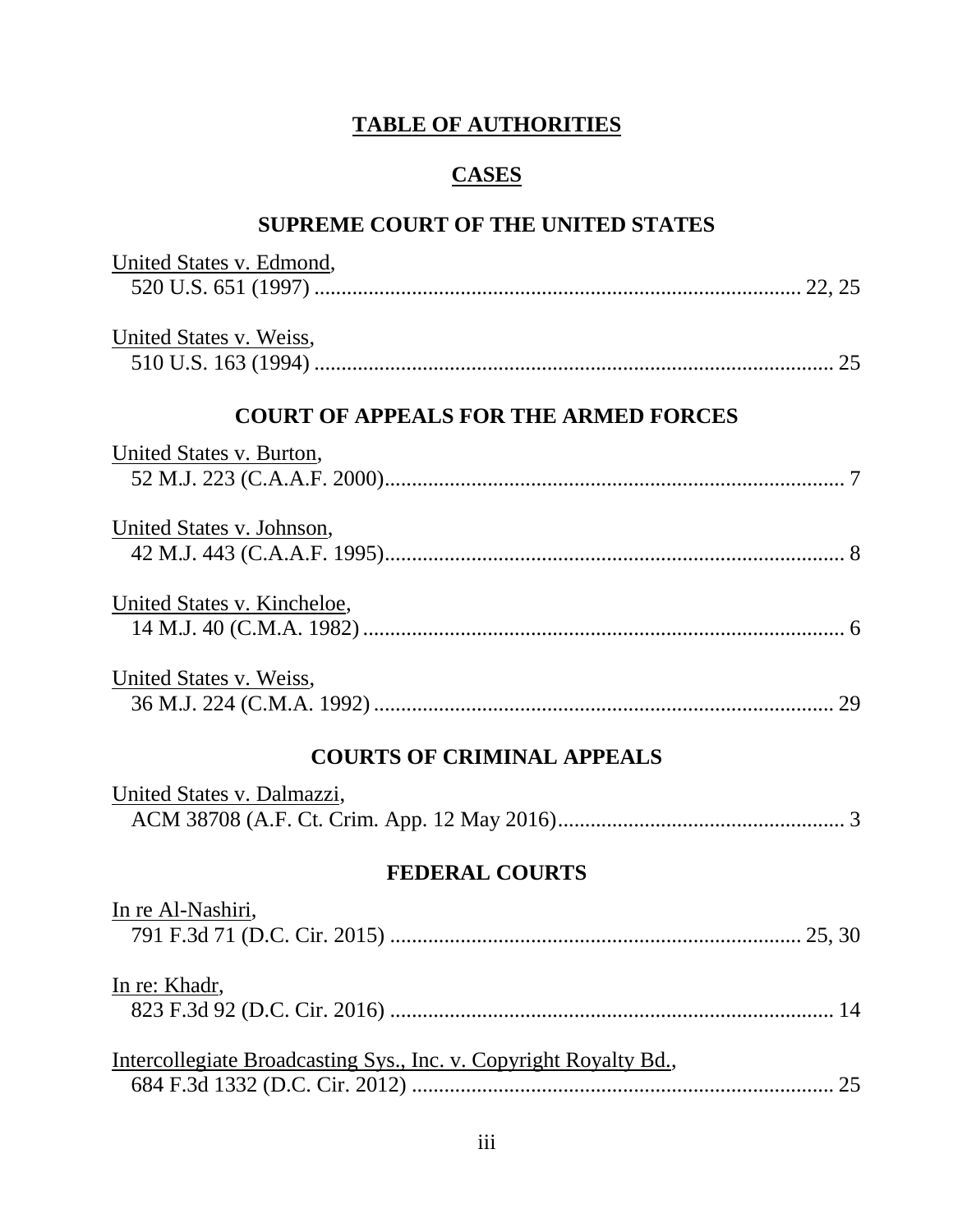# **TABLE OF AUTHORITIES**

# **CASES**

# **SUPREME COURT OF THE UNITED STATES**

<span id="page-2-0"></span>

| United States v. Edmond,                                          |
|-------------------------------------------------------------------|
| United States v. Weiss,                                           |
| <b>COURT OF APPEALS FOR THE ARMED FORCES</b>                      |
| United States v. Burton,                                          |
| United States v. Johnson,                                         |
| United States v. Kincheloe,                                       |
| United States v. Weiss,                                           |
| <b>COURTS OF CRIMINAL APPEALS</b>                                 |
| United States v. Dalmazzi,                                        |
| <b>FEDERAL COURTS</b>                                             |
| In re Al-Nashiri,                                                 |
| In re: Khadr,                                                     |
| Intercollegiate Broadcasting Sys., Inc. v. Copyright Royalty Bd., |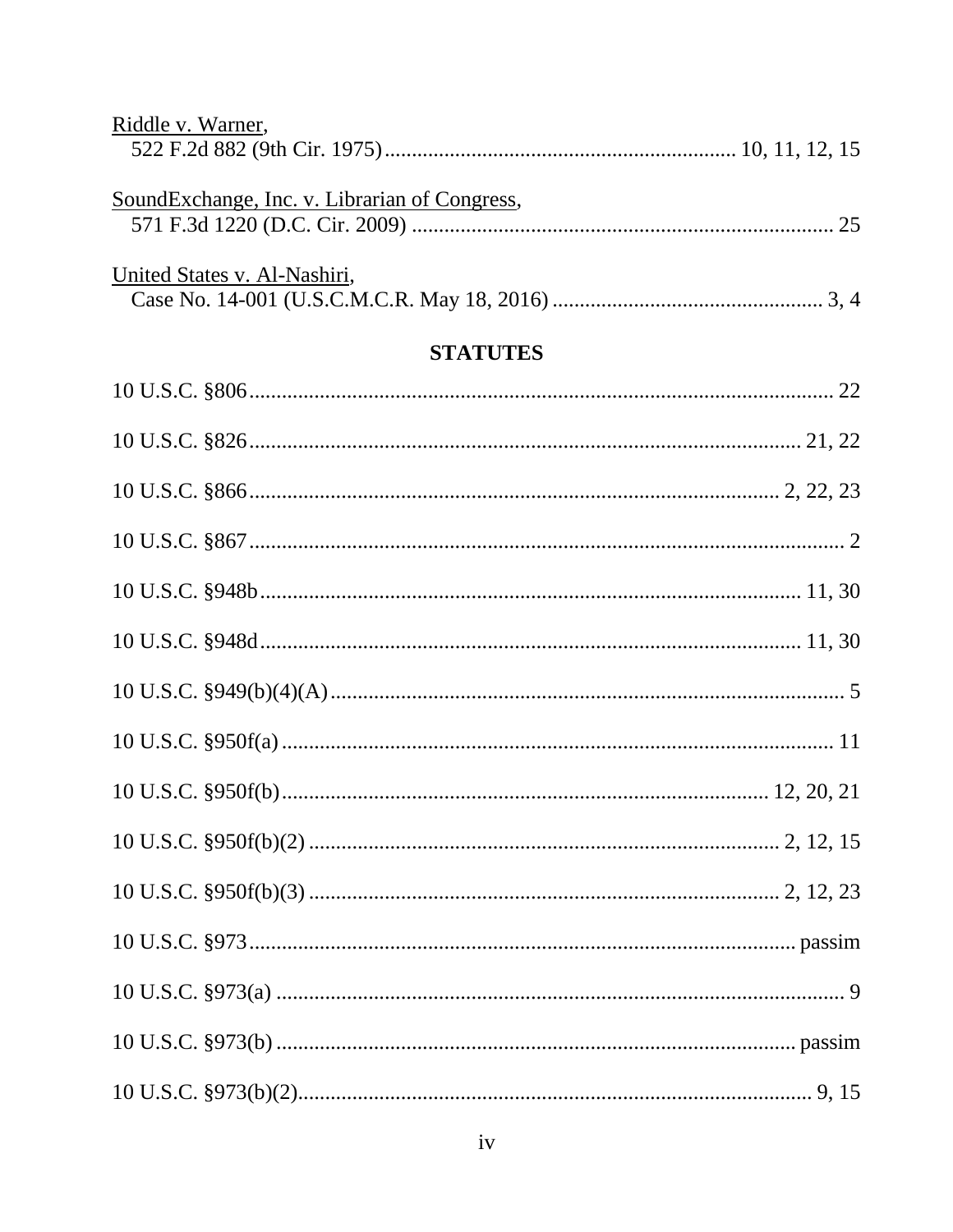| Riddle v. Warner,                             |  |
|-----------------------------------------------|--|
| SoundExchange, Inc. v. Librarian of Congress, |  |
| United States v. Al-Nashiri,                  |  |

# **STATUTES**

| 10 U.S.C. $\frac{100 \text{ J.S. C}}{2}$ $\frac{100 \text{ J.S. C}}{2}$ $\frac{100 \text{ J.S. C}}{2}$ $\frac{100 \text{ J.S. C}}{2}$ $\frac{100 \text{ J.S. C}}{2}$ $\frac{100 \text{ J.S. C}}{2}$ $\frac{100 \text{ J.S. C}}{2}$ $\frac{100 \text{ J.S. C}}{2}$ $\frac{100 \text{ J.S. C}}{2}$ $\frac{100 \text{ J.S. C}}{2}$ $\frac{100 \text{ J$ |
|------------------------------------------------------------------------------------------------------------------------------------------------------------------------------------------------------------------------------------------------------------------------------------------------------------------------------------------------------|
|                                                                                                                                                                                                                                                                                                                                                      |
|                                                                                                                                                                                                                                                                                                                                                      |
|                                                                                                                                                                                                                                                                                                                                                      |
|                                                                                                                                                                                                                                                                                                                                                      |
|                                                                                                                                                                                                                                                                                                                                                      |
|                                                                                                                                                                                                                                                                                                                                                      |
|                                                                                                                                                                                                                                                                                                                                                      |
|                                                                                                                                                                                                                                                                                                                                                      |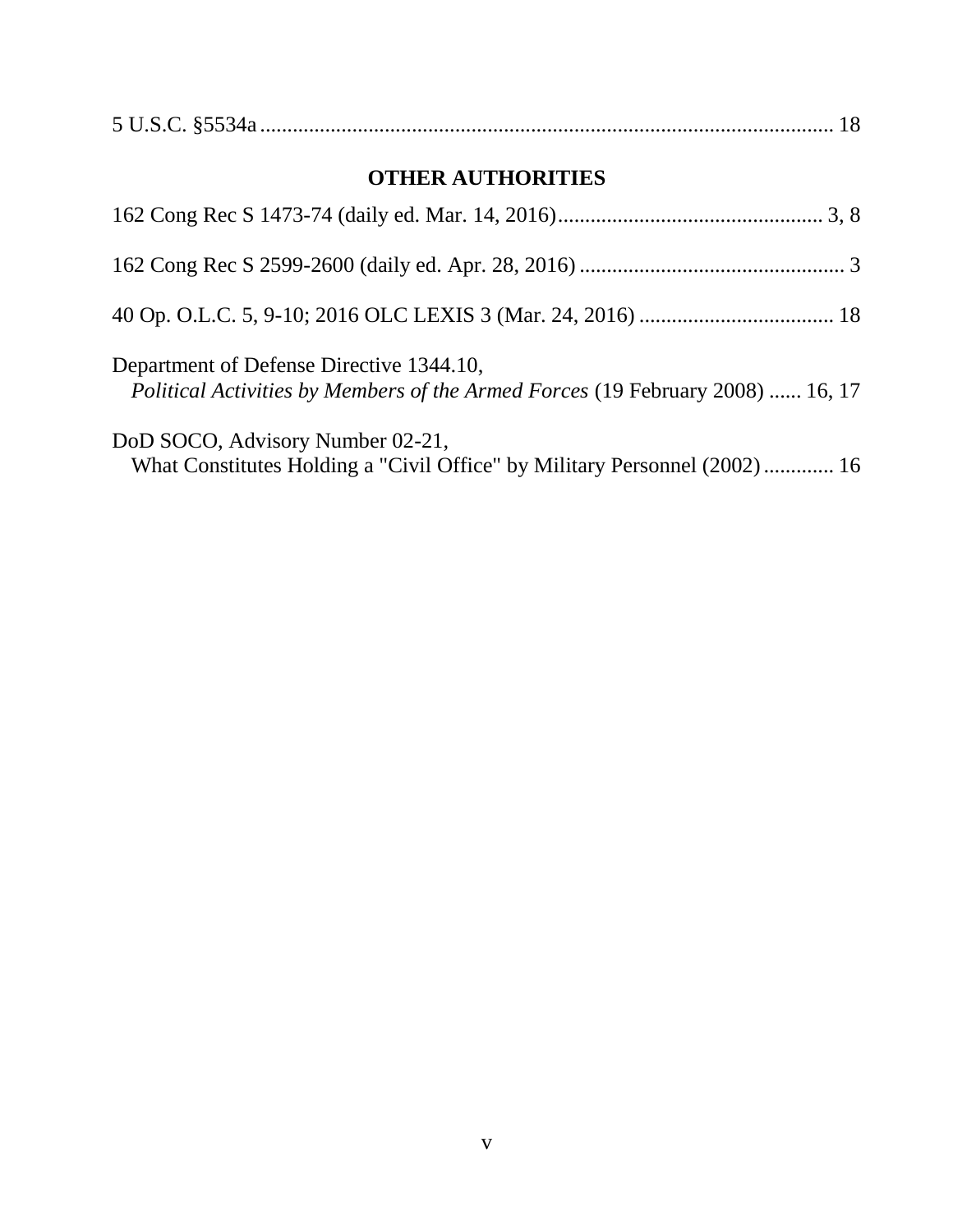| <b>OTHER AUTHORITIES</b>                                                                                                   |  |  |
|----------------------------------------------------------------------------------------------------------------------------|--|--|
|                                                                                                                            |  |  |
|                                                                                                                            |  |  |
|                                                                                                                            |  |  |
| Department of Defense Directive 1344.10,<br>Political Activities by Members of the Armed Forces (19 February 2008)  16, 17 |  |  |
| DoD SOCO, Advisory Number 02-21,                                                                                           |  |  |

What Constitutes Holding a "Civil Office" by Military Personnel (2002)............. 16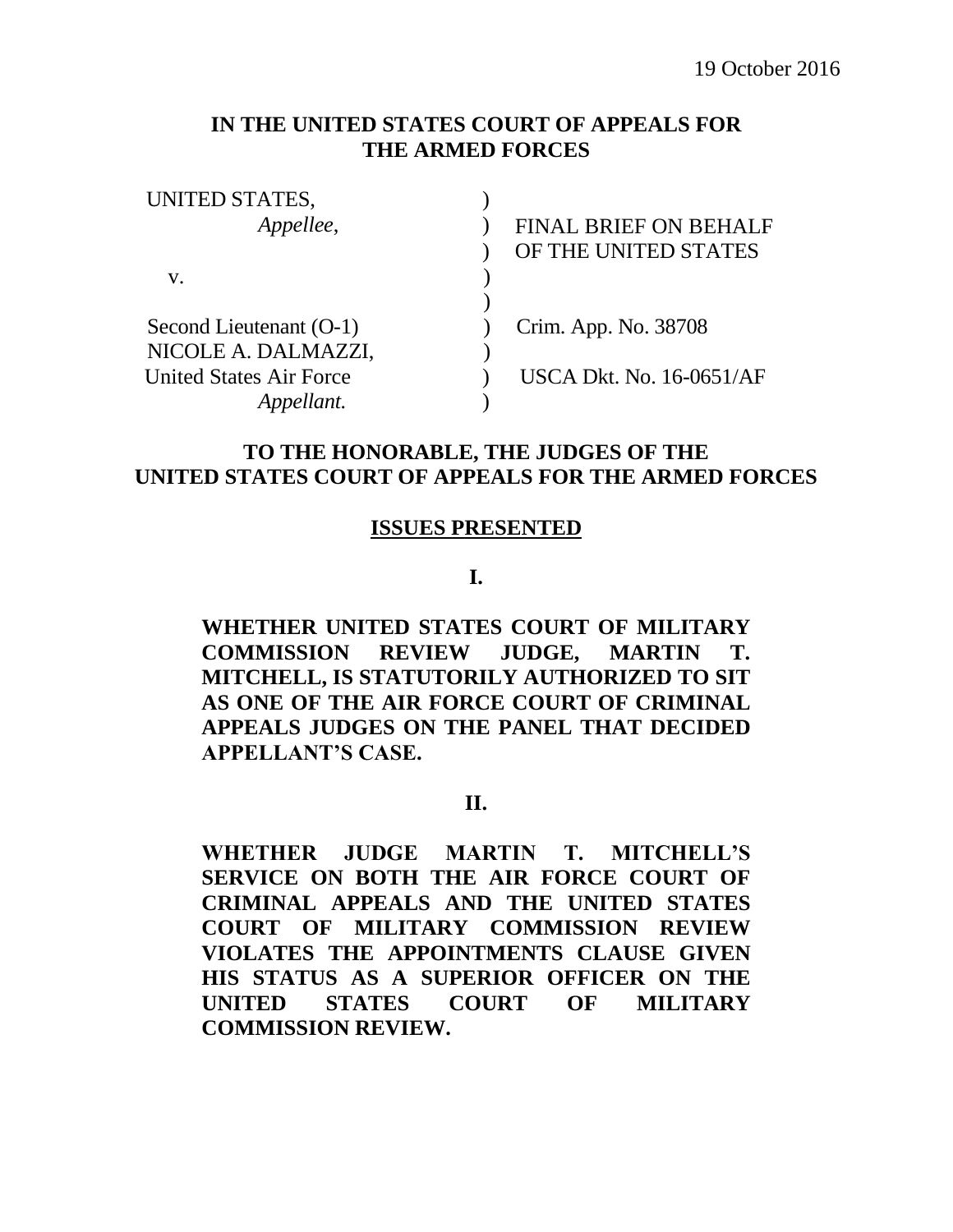### **IN THE UNITED STATES COURT OF APPEALS FOR THE ARMED FORCES**

| UNITED STATES,                 |                              |
|--------------------------------|------------------------------|
| Appellee,                      | <b>FINAL BRIEF ON BEHALF</b> |
|                                | OF THE UNITED STATES         |
| V.                             |                              |
|                                |                              |
| Second Lieutenant (O-1)        | Crim. App. No. 38708         |
| NICOLE A. DALMAZZI,            |                              |
| <b>United States Air Force</b> | USCA Dkt. No. 16-0651/AF     |
| Appellant.                     |                              |

### <span id="page-5-0"></span>**TO THE HONORABLE, THE JUDGES OF THE UNITED STATES COURT OF APPEALS FOR THE ARMED FORCES**

#### **ISSUES PRESENTED**

**I.**

**WHETHER UNITED STATES COURT OF MILITARY COMMISSION REVIEW JUDGE, MARTIN T. MITCHELL, IS STATUTORILY AUTHORIZED TO SIT AS ONE OF THE AIR FORCE COURT OF CRIMINAL APPEALS JUDGES ON THE PANEL THAT DECIDED APPELLANT'S CASE.**

#### **II.**

**WHETHER JUDGE MARTIN T. MITCHELL'S SERVICE ON BOTH THE AIR FORCE COURT OF CRIMINAL APPEALS AND THE UNITED STATES COURT OF MILITARY COMMISSION REVIEW VIOLATES THE APPOINTMENTS CLAUSE GIVEN HIS STATUS AS A SUPERIOR OFFICER ON THE UNITED STATES COURT OF MILITARY COMMISSION REVIEW.**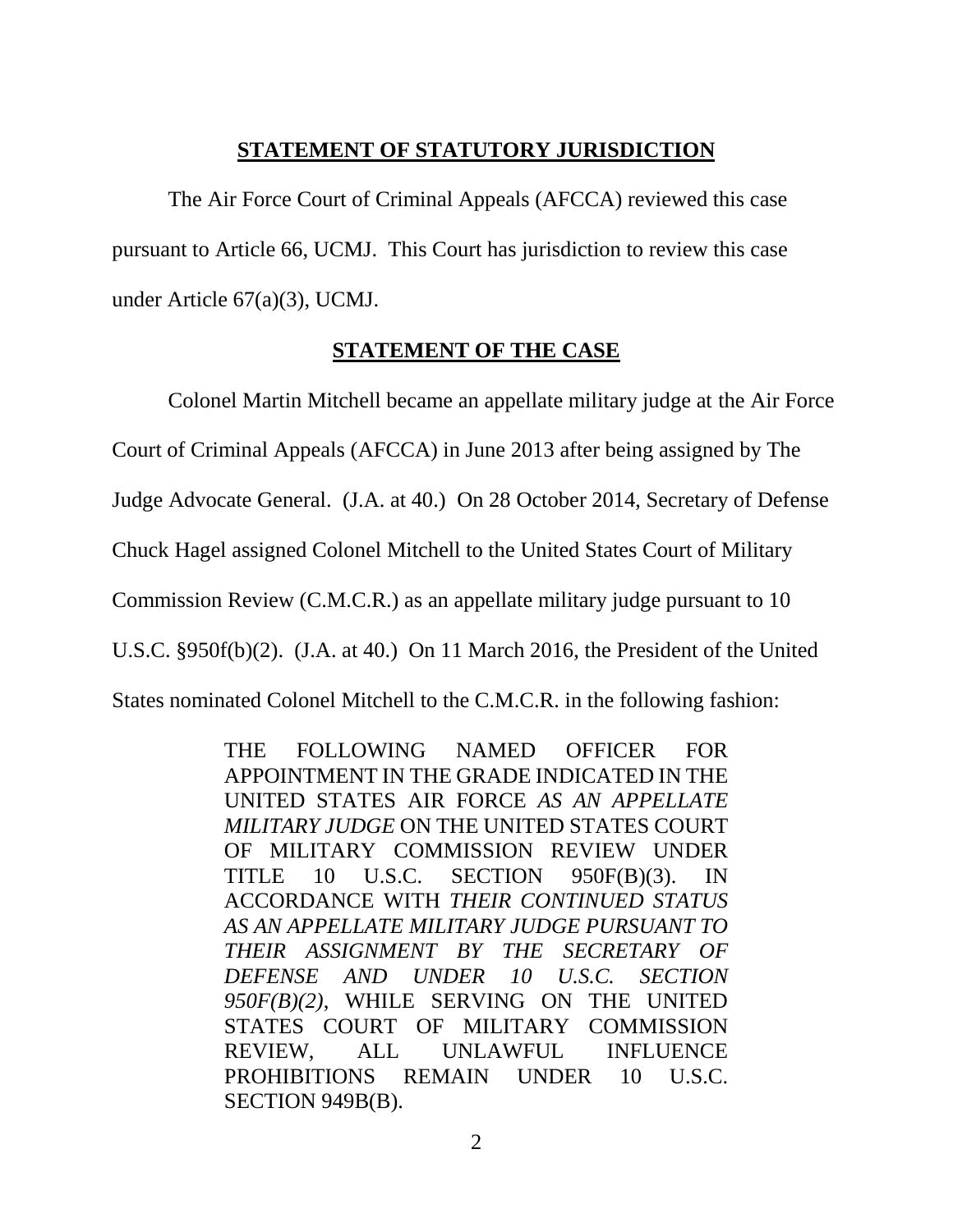### **STATEMENT OF STATUTORY JURISDICTION**

<span id="page-6-0"></span>The Air Force Court of Criminal Appeals (AFCCA) reviewed this case pursuant to Article 66, UCMJ. This Court has jurisdiction to review this case under Article 67(a)(3), UCMJ.

#### **STATEMENT OF THE CASE**

<span id="page-6-1"></span>Colonel Martin Mitchell became an appellate military judge at the Air Force

Court of Criminal Appeals (AFCCA) in June 2013 after being assigned by The

Judge Advocate General. (J.A. at 40.) On 28 October 2014, Secretary of Defense

Chuck Hagel assigned Colonel Mitchell to the United States Court of Military

Commission Review (C.M.C.R.) as an appellate military judge pursuant to 10

U.S.C. §950f(b)(2). (J.A. at 40.) On 11 March 2016, the President of the United

States nominated Colonel Mitchell to the C.M.C.R. in the following fashion:

THE FOLLOWING NAMED OFFICER FOR APPOINTMENT IN THE GRADE INDICATED IN THE UNITED STATES AIR FORCE *AS AN APPELLATE MILITARY JUDGE* ON THE UNITED STATES COURT OF MILITARY COMMISSION REVIEW UNDER TITLE 10 U.S.C. SECTION 950F(B)(3). IN ACCORDANCE WITH *THEIR CONTINUED STATUS AS AN APPELLATE MILITARY JUDGE PURSUANT TO THEIR ASSIGNMENT BY THE SECRETARY OF DEFENSE AND UNDER 10 U.S.C. SECTION 950F(B)(2)*, WHILE SERVING ON THE UNITED STATES COURT OF MILITARY COMMISSION REVIEW, ALL UNLAWFUL INFLUENCE PROHIBITIONS REMAIN UNDER 10 U.S.C. SECTION 949B(B).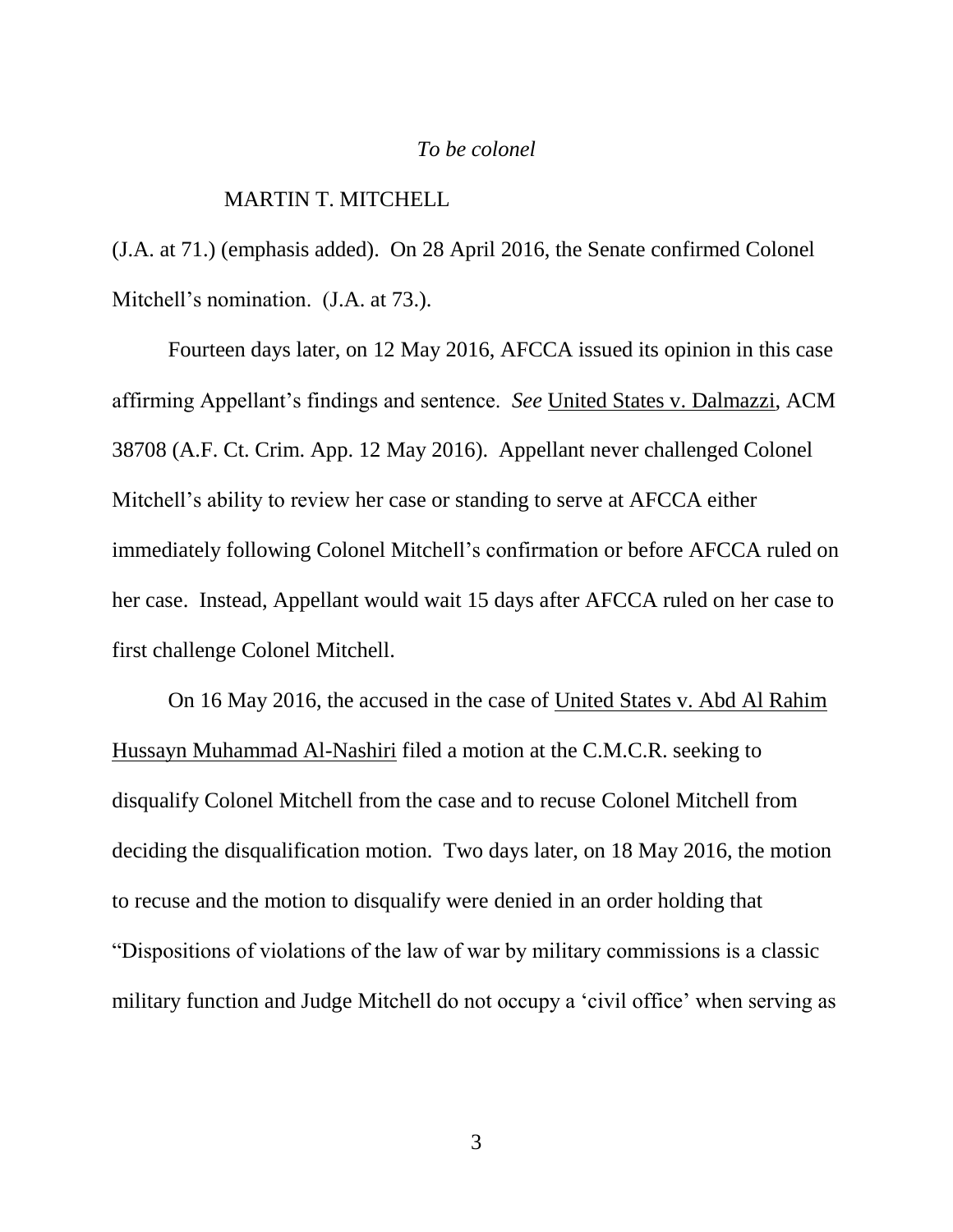#### *To be colonel*

### MARTIN T. MITCHELL

(J.A. at 71.) (emphasis added). On 28 April 2016, the Senate confirmed Colonel Mitchell's nomination. (J.A. at 73.).

Fourteen days later, on 12 May 2016, AFCCA issued its opinion in this case affirming Appellant's findings and sentence. *See* United States v. Dalmazzi, ACM 38708 (A.F. Ct. Crim. App. 12 May 2016). Appellant never challenged Colonel Mitchell's ability to review her case or standing to serve at AFCCA either immediately following Colonel Mitchell's confirmation or before AFCCA ruled on her case. Instead, Appellant would wait 15 days after AFCCA ruled on her case to first challenge Colonel Mitchell.

On 16 May 2016, the accused in the case of United States v. Abd Al Rahim Hussayn Muhammad Al-Nashiri filed a motion at the C.M.C.R. seeking to disqualify Colonel Mitchell from the case and to recuse Colonel Mitchell from deciding the disqualification motion. Two days later, on 18 May 2016, the motion to recuse and the motion to disqualify were denied in an order holding that "Dispositions of violations of the law of war by military commissions is a classic military function and Judge Mitchell do not occupy a 'civil office' when serving as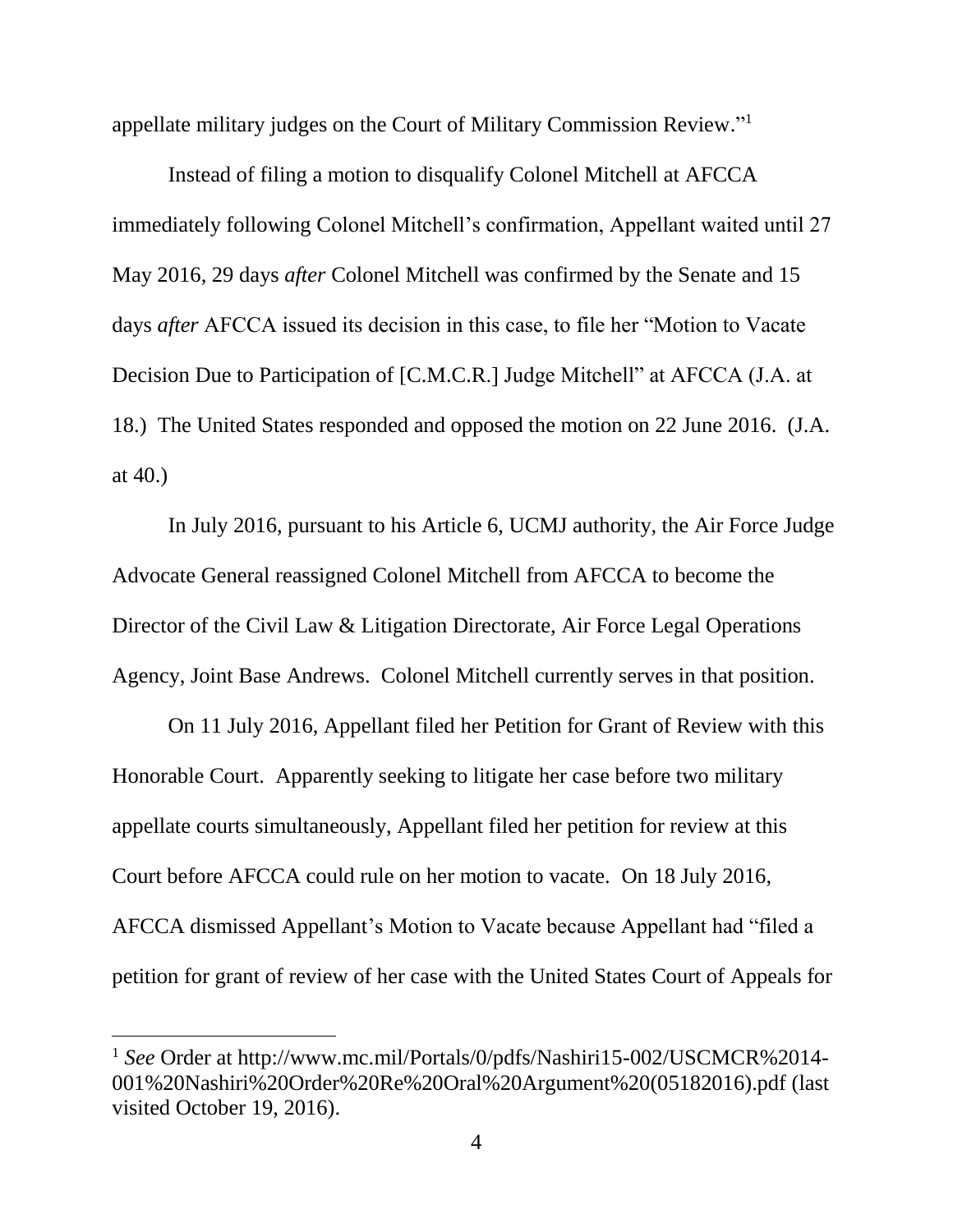appellate military judges on the Court of Military Commission Review." 1

Instead of filing a motion to disqualify Colonel Mitchell at AFCCA immediately following Colonel Mitchell's confirmation, Appellant waited until 27 May 2016, 29 days *after* Colonel Mitchell was confirmed by the Senate and 15 days *after* AFCCA issued its decision in this case, to file her "Motion to Vacate Decision Due to Participation of [C.M.C.R.] Judge Mitchell" at AFCCA (J.A. at 18.) The United States responded and opposed the motion on 22 June 2016. (J.A. at 40.)

In July 2016, pursuant to his Article 6, UCMJ authority, the Air Force Judge Advocate General reassigned Colonel Mitchell from AFCCA to become the Director of the Civil Law & Litigation Directorate, Air Force Legal Operations Agency, Joint Base Andrews. Colonel Mitchell currently serves in that position.

On 11 July 2016, Appellant filed her Petition for Grant of Review with this Honorable Court. Apparently seeking to litigate her case before two military appellate courts simultaneously, Appellant filed her petition for review at this Court before AFCCA could rule on her motion to vacate. On 18 July 2016, AFCCA dismissed Appellant's Motion to Vacate because Appellant had "filed a petition for grant of review of her case with the United States Court of Appeals for

<sup>1</sup> *See* Order at http://www.mc.mil/Portals/0/pdfs/Nashiri15-002/USCMCR%2014- 001%20Nashiri%20Order%20Re%20Oral%20Argument%20(05182016).pdf (last visited October 19, 2016).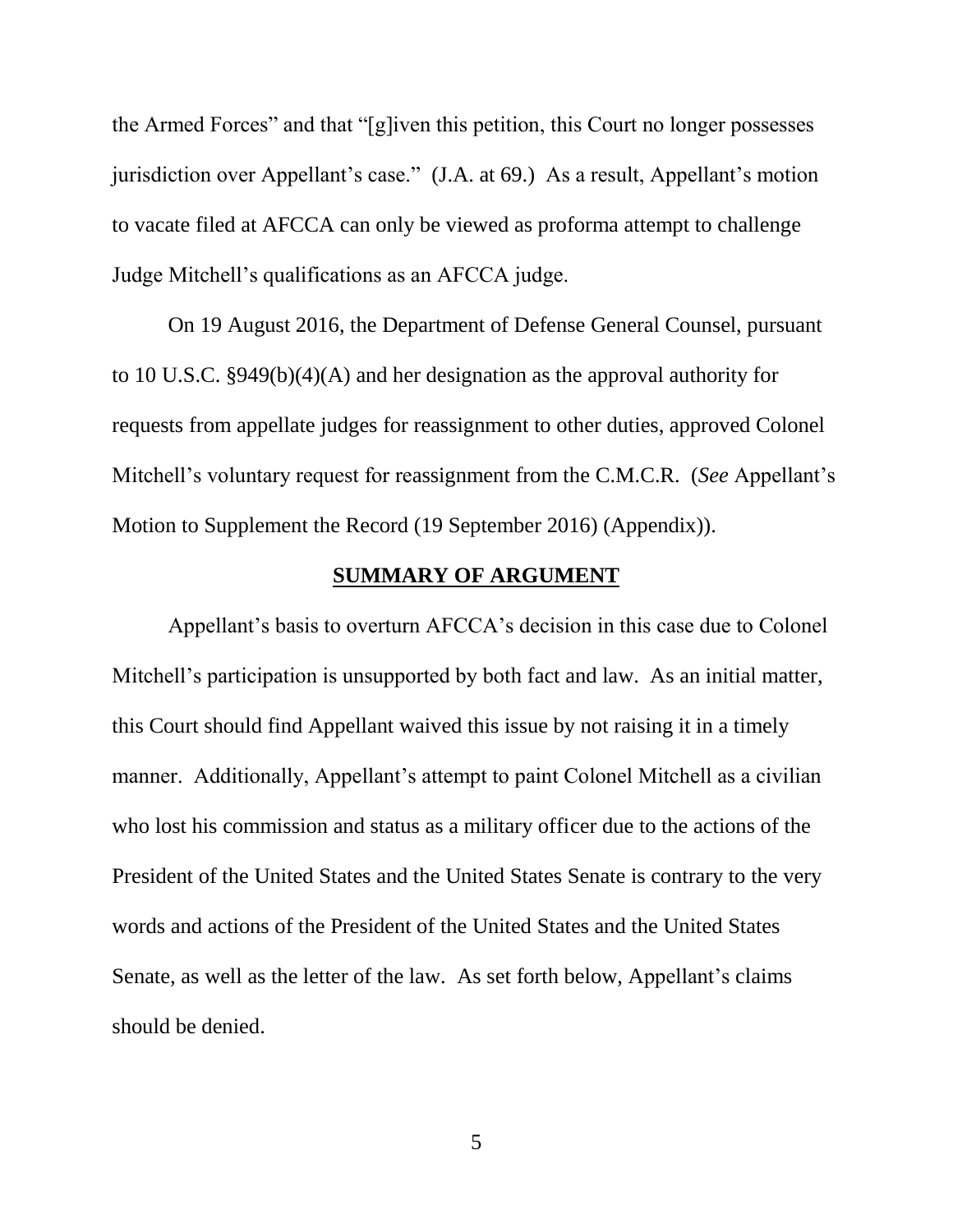the Armed Forces" and that "[g]iven this petition, this Court no longer possesses jurisdiction over Appellant's case." (J.A. at 69.) As a result, Appellant's motion to vacate filed at AFCCA can only be viewed as proforma attempt to challenge Judge Mitchell's qualifications as an AFCCA judge.

On 19 August 2016, the Department of Defense General Counsel, pursuant to 10 U.S.C. §949(b)(4)(A) and her designation as the approval authority for requests from appellate judges for reassignment to other duties, approved Colonel Mitchell's voluntary request for reassignment from the C.M.C.R. (*See* Appellant's Motion to Supplement the Record (19 September 2016) (Appendix)).

#### **SUMMARY OF ARGUMENT**

<span id="page-9-0"></span>Appellant's basis to overturn AFCCA's decision in this case due to Colonel Mitchell's participation is unsupported by both fact and law. As an initial matter, this Court should find Appellant waived this issue by not raising it in a timely manner. Additionally, Appellant's attempt to paint Colonel Mitchell as a civilian who lost his commission and status as a military officer due to the actions of the President of the United States and the United States Senate is contrary to the very words and actions of the President of the United States and the United States Senate, as well as the letter of the law. As set forth below, Appellant's claims should be denied.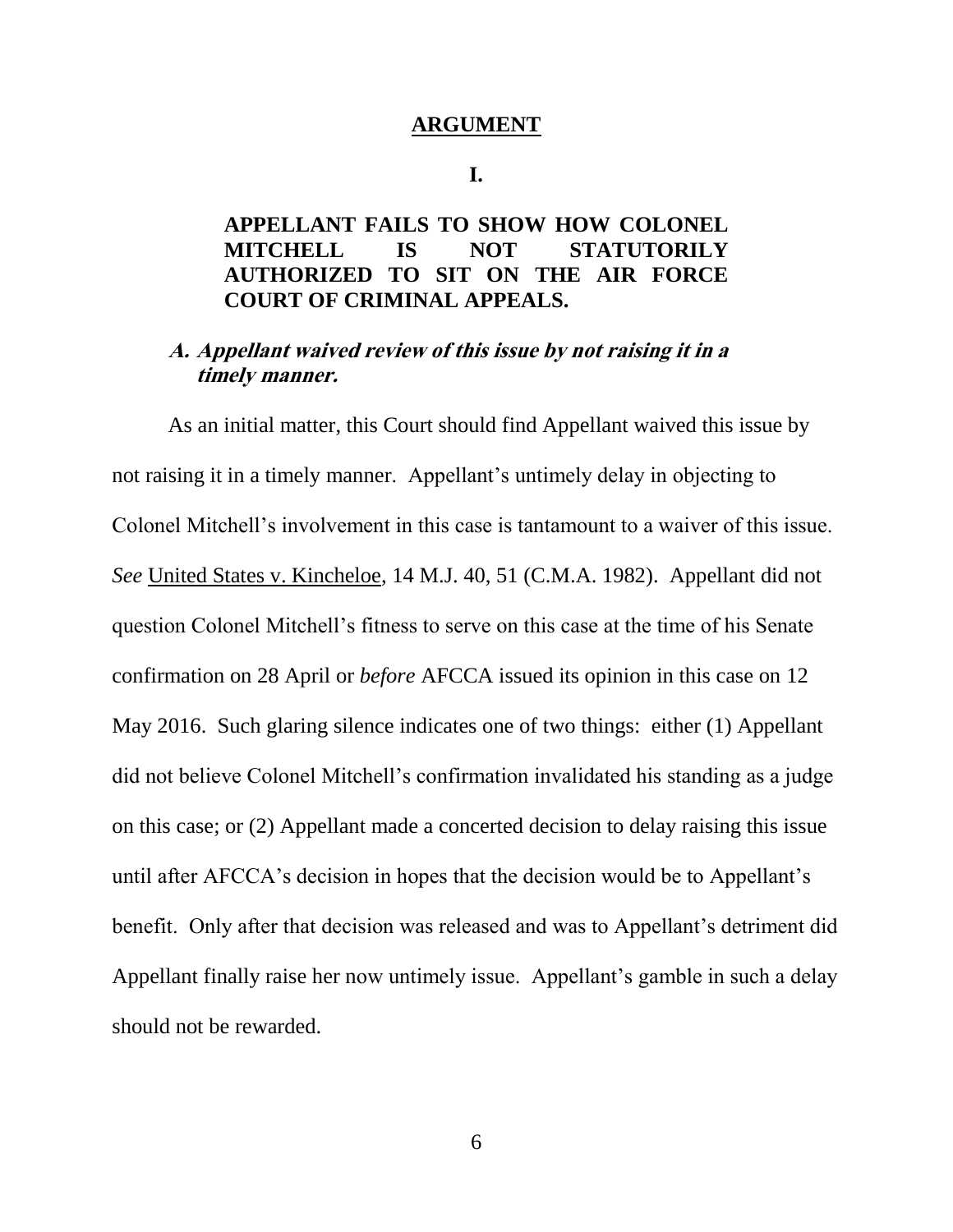#### **ARGUMENT**

#### **I.**

## <span id="page-10-1"></span><span id="page-10-0"></span>**APPELLANT FAILS TO SHOW HOW COLONEL MITCHELL IS NOT STATUTORILY AUTHORIZED TO SIT ON THE AIR FORCE COURT OF CRIMINAL APPEALS.**

### **A. Appellant waived review of this issue by not raising it in a timely manner.**

As an initial matter, this Court should find Appellant waived this issue by not raising it in a timely manner. Appellant's untimely delay in objecting to Colonel Mitchell's involvement in this case is tantamount to a waiver of this issue. *See* United States v. Kincheloe, 14 M.J. 40, 51 (C.M.A. 1982). Appellant did not question Colonel Mitchell's fitness to serve on this case at the time of his Senate confirmation on 28 April or *before* AFCCA issued its opinion in this case on 12 May 2016. Such glaring silence indicates one of two things: either (1) Appellant did not believe Colonel Mitchell's confirmation invalidated his standing as a judge on this case; or (2) Appellant made a concerted decision to delay raising this issue until after AFCCA's decision in hopes that the decision would be to Appellant's benefit. Only after that decision was released and was to Appellant's detriment did Appellant finally raise her now untimely issue. Appellant's gamble in such a delay should not be rewarded.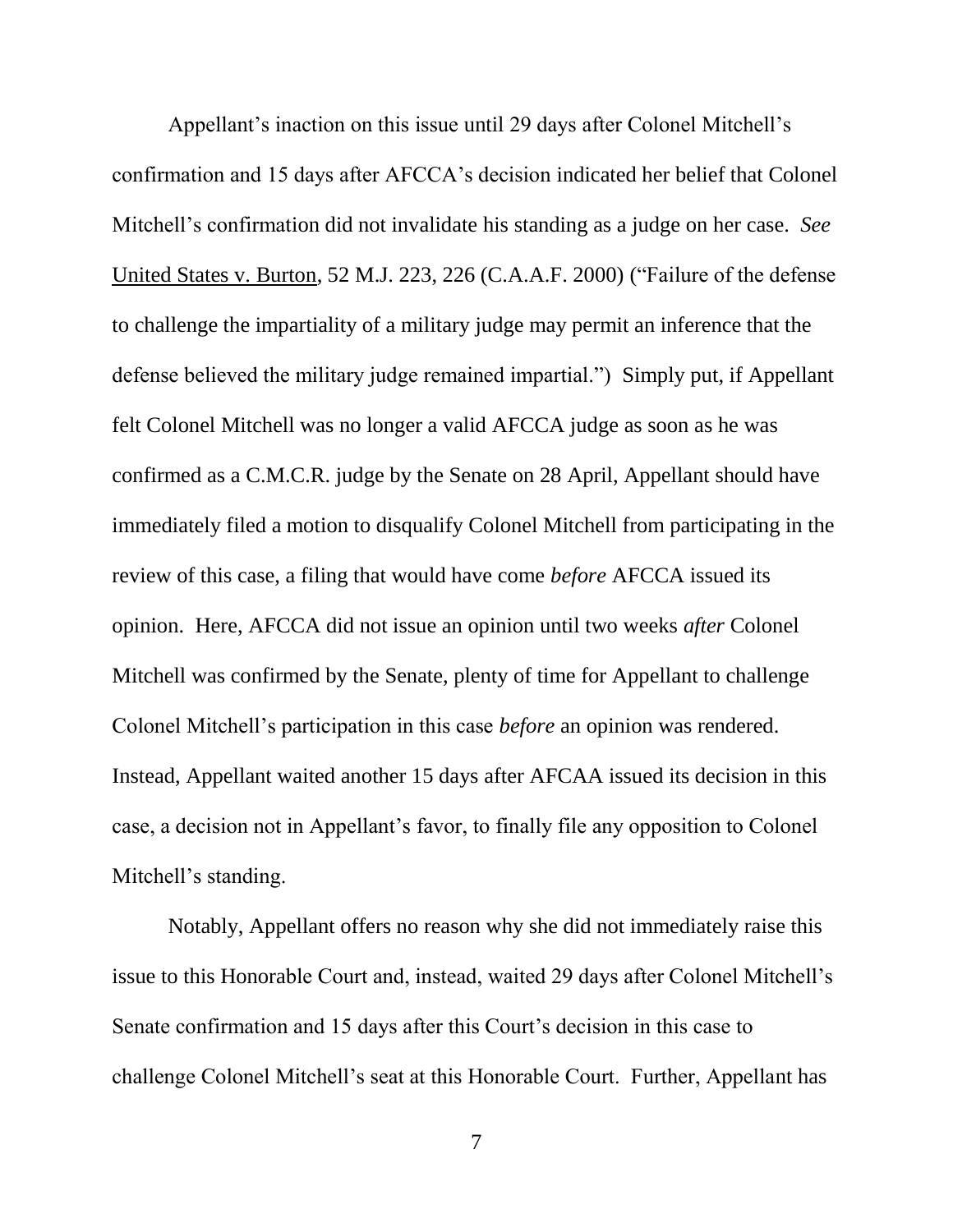Appellant's inaction on this issue until 29 days after Colonel Mitchell's confirmation and 15 days after AFCCA's decision indicated her belief that Colonel Mitchell's confirmation did not invalidate his standing as a judge on her case. *See* United States v. Burton, 52 M.J. 223, 226 (C.A.A.F. 2000) ("Failure of the defense to challenge the impartiality of a military judge may permit an inference that the defense believed the military judge remained impartial.") Simply put, if Appellant felt Colonel Mitchell was no longer a valid AFCCA judge as soon as he was confirmed as a C.M.C.R. judge by the Senate on 28 April, Appellant should have immediately filed a motion to disqualify Colonel Mitchell from participating in the review of this case, a filing that would have come *before* AFCCA issued its opinion. Here, AFCCA did not issue an opinion until two weeks *after* Colonel Mitchell was confirmed by the Senate, plenty of time for Appellant to challenge Colonel Mitchell's participation in this case *before* an opinion was rendered. Instead, Appellant waited another 15 days after AFCAA issued its decision in this case, a decision not in Appellant's favor, to finally file any opposition to Colonel Mitchell's standing.

Notably, Appellant offers no reason why she did not immediately raise this issue to this Honorable Court and, instead, waited 29 days after Colonel Mitchell's Senate confirmation and 15 days after this Court's decision in this case to challenge Colonel Mitchell's seat at this Honorable Court. Further, Appellant has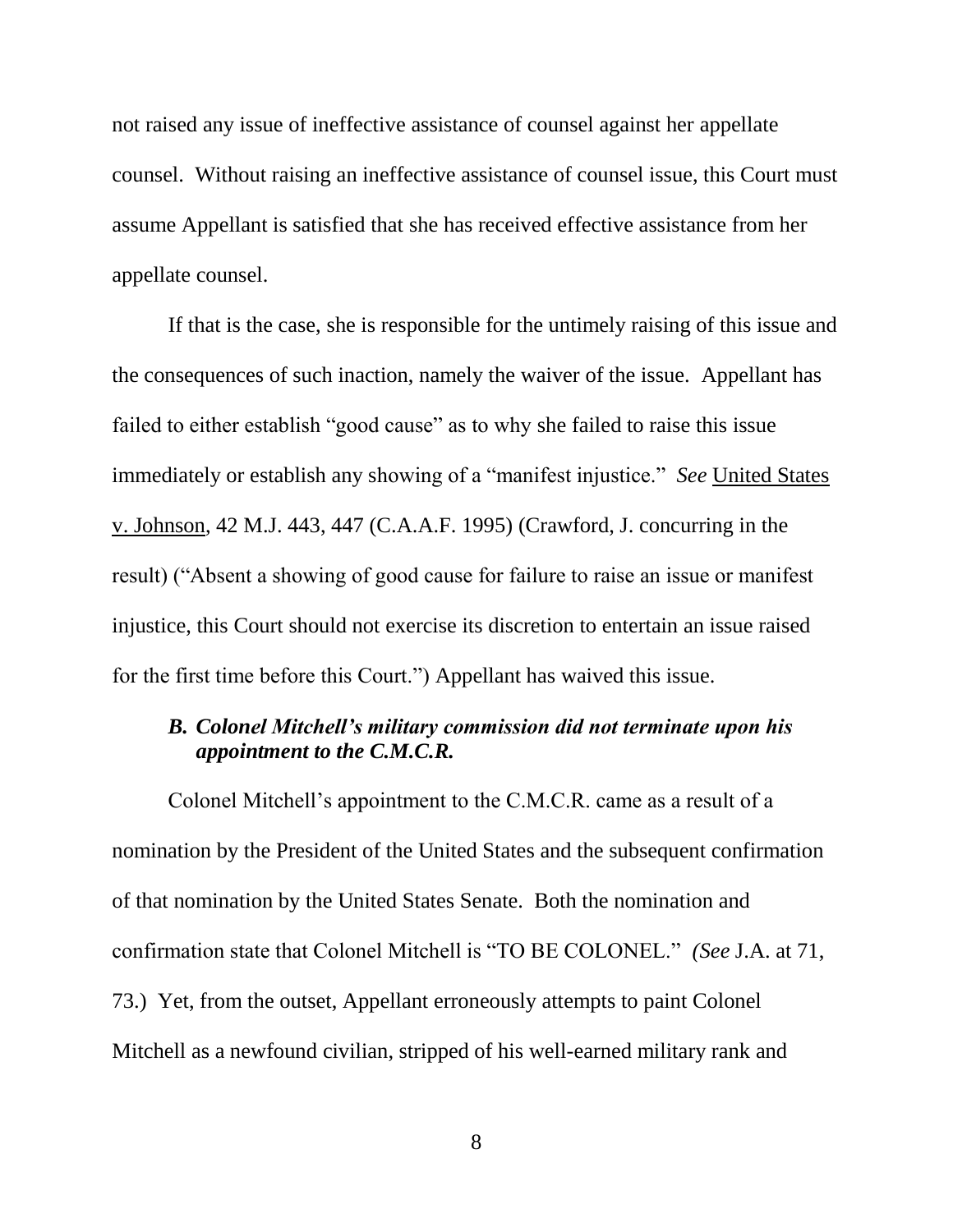not raised any issue of ineffective assistance of counsel against her appellate counsel. Without raising an ineffective assistance of counsel issue, this Court must assume Appellant is satisfied that she has received effective assistance from her appellate counsel.

If that is the case, she is responsible for the untimely raising of this issue and the consequences of such inaction, namely the waiver of the issue. Appellant has failed to either establish "good cause" as to why she failed to raise this issue immediately or establish any showing of a "manifest injustice." *See* United States v. Johnson, 42 M.J. 443, 447 (C.A.A.F. 1995) (Crawford, J. concurring in the result) ("Absent a showing of good cause for failure to raise an issue or manifest injustice, this Court should not exercise its discretion to entertain an issue raised for the first time before this Court.") Appellant has waived this issue.

## *B. Colonel Mitchell's military commission did not terminate upon his appointment to the C.M.C.R.*

Colonel Mitchell's appointment to the C.M.C.R. came as a result of a nomination by the President of the United States and the subsequent confirmation of that nomination by the United States Senate. Both the nomination and confirmation state that Colonel Mitchell is "TO BE COLONEL." *(See* J.A. at 71, 73.) Yet, from the outset, Appellant erroneously attempts to paint Colonel Mitchell as a newfound civilian, stripped of his well-earned military rank and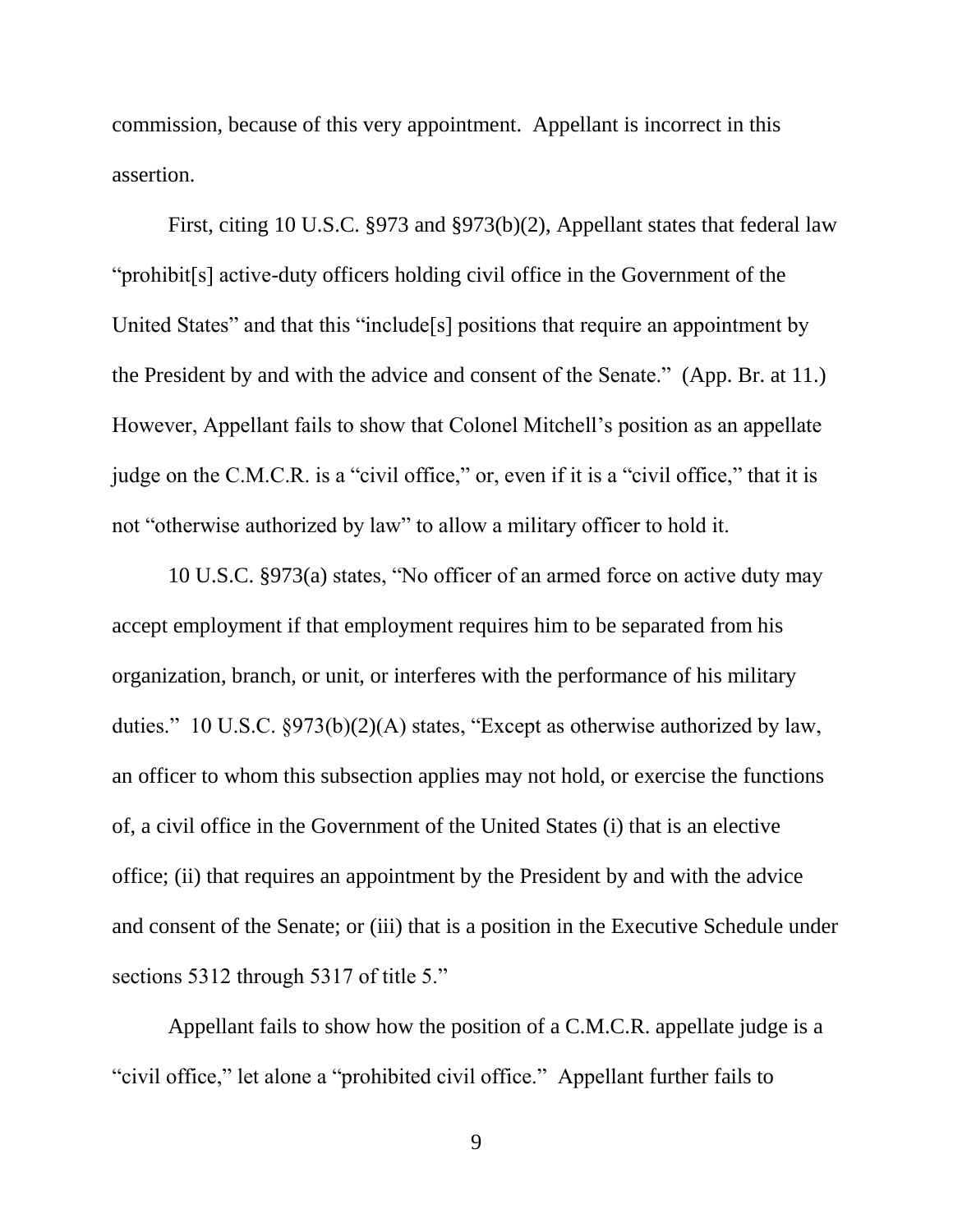commission, because of this very appointment. Appellant is incorrect in this assertion.

First, citing 10 U.S.C. §973 and §973(b)(2), Appellant states that federal law "prohibit[s] active-duty officers holding civil office in the Government of the United States" and that this "include[s] positions that require an appointment by the President by and with the advice and consent of the Senate." (App. Br. at 11.) However, Appellant fails to show that Colonel Mitchell's position as an appellate judge on the C.M.C.R. is a "civil office," or, even if it is a "civil office," that it is not "otherwise authorized by law" to allow a military officer to hold it.

10 U.S.C. §973(a) states, "No officer of an armed force on active duty may accept employment if that employment requires him to be separated from his organization, branch, or unit, or interferes with the performance of his military duties." 10 U.S.C. §973(b)(2)(A) states, "Except as otherwise authorized by law, an officer to whom this subsection applies may not hold, or exercise the functions of, a civil office in the Government of the United States (i) that is an elective office; (ii) that requires an appointment by the President by and with the advice and consent of the Senate; or (iii) that is a position in the Executive Schedule under sections 5312 through 5317 of title 5."

Appellant fails to show how the position of a C.M.C.R. appellate judge is a "civil office," let alone a "prohibited civil office." Appellant further fails to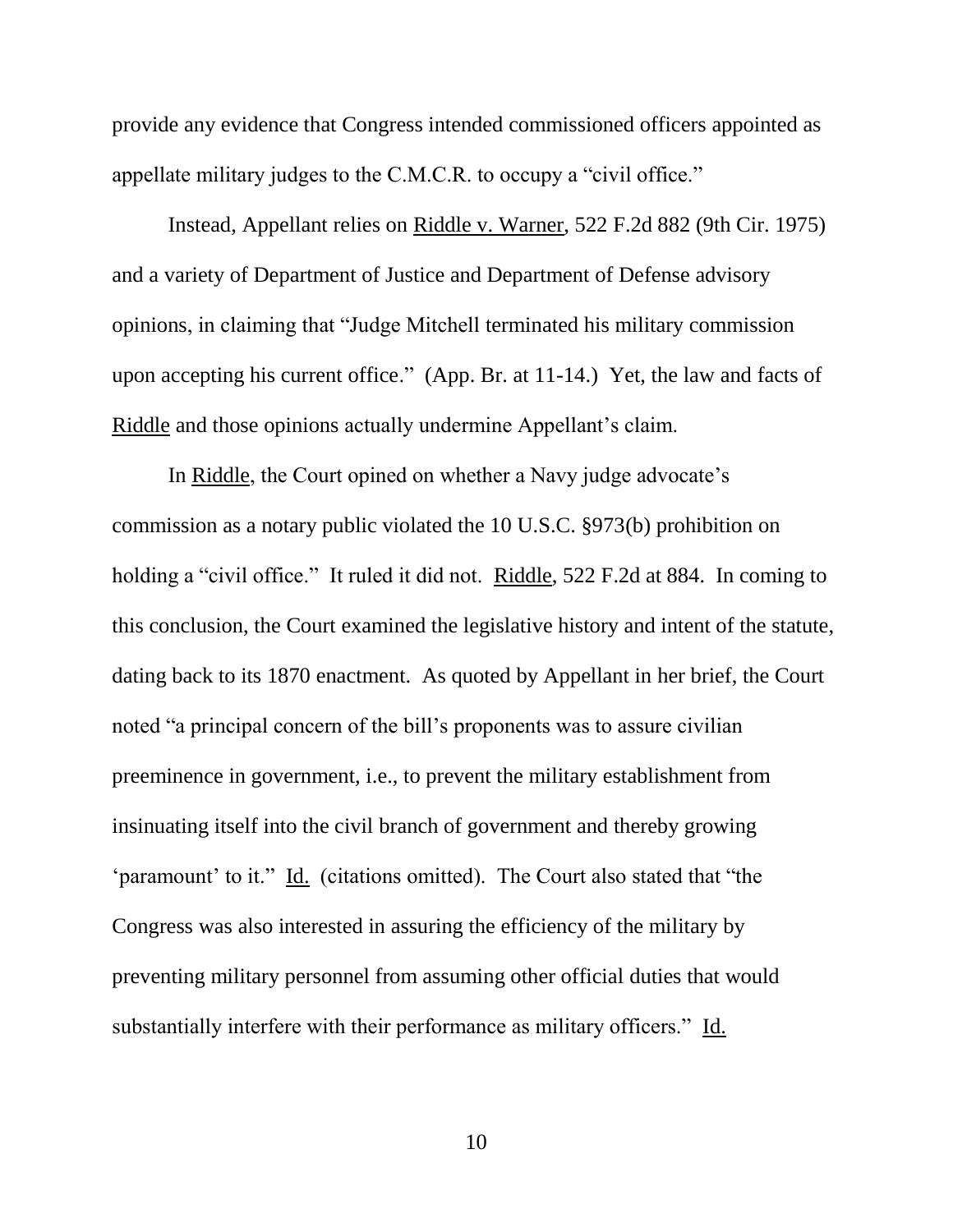provide any evidence that Congress intended commissioned officers appointed as appellate military judges to the C.M.C.R. to occupy a "civil office."

Instead, Appellant relies on Riddle v. Warner, 522 F.2d 882 (9th Cir. 1975) and a variety of Department of Justice and Department of Defense advisory opinions, in claiming that "Judge Mitchell terminated his military commission upon accepting his current office." (App. Br. at 11-14.) Yet, the law and facts of Riddle and those opinions actually undermine Appellant's claim.

In Riddle, the Court opined on whether a Navy judge advocate's commission as a notary public violated the 10 U.S.C. §973(b) prohibition on holding a "civil office." It ruled it did not. Riddle, 522 F.2d at 884. In coming to this conclusion, the Court examined the legislative history and intent of the statute, dating back to its 1870 enactment. As quoted by Appellant in her brief, the Court noted "a principal concern of the bill's proponents was to assure civilian preeminence in government, i.e., to prevent the military establishment from insinuating itself into the civil branch of government and thereby growing 'paramount' to it." Id.(citations omitted). The Court also stated that "the Congress was also interested in assuring the efficiency of the military by preventing military personnel from assuming other official duties that would substantially interfere with their performance as military officers." Id.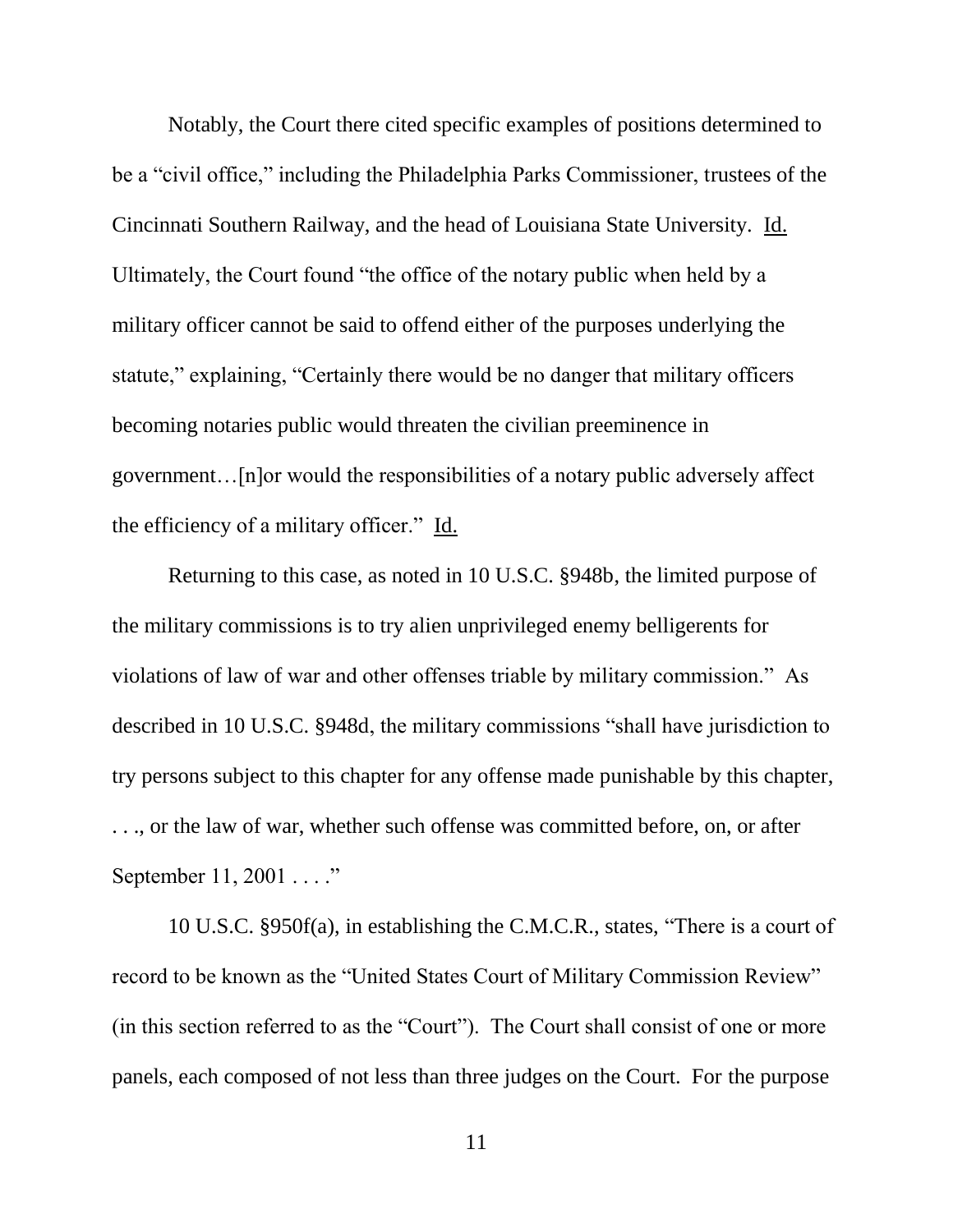Notably, the Court there cited specific examples of positions determined to be a "civil office," including the Philadelphia Parks Commissioner, trustees of the Cincinnati Southern Railway, and the head of Louisiana State University. Id. Ultimately, the Court found "the office of the notary public when held by a military officer cannot be said to offend either of the purposes underlying the statute," explaining, "Certainly there would be no danger that military officers becoming notaries public would threaten the civilian preeminence in government…[n]or would the responsibilities of a notary public adversely affect the efficiency of a military officer." Id.

Returning to this case, as noted in 10 U.S.C. §948b, the limited purpose of the military commissions is to try alien unprivileged enemy belligerents for violations of law of war and other offenses triable by military commission." As described in 10 U.S.C. §948d, the military commissions "shall have jurisdiction to try persons subject to this chapter for any offense made punishable by this chapter, . . ., or the law of war, whether such offense was committed before, on, or after September 11, 2001 . . . ."

10 U.S.C. §950f(a), in establishing the C.M.C.R., states, "There is a court of record to be known as the "United States Court of Military Commission Review" (in this section referred to as the "Court"). The Court shall consist of one or more panels, each composed of not less than three judges on the Court. For the purpose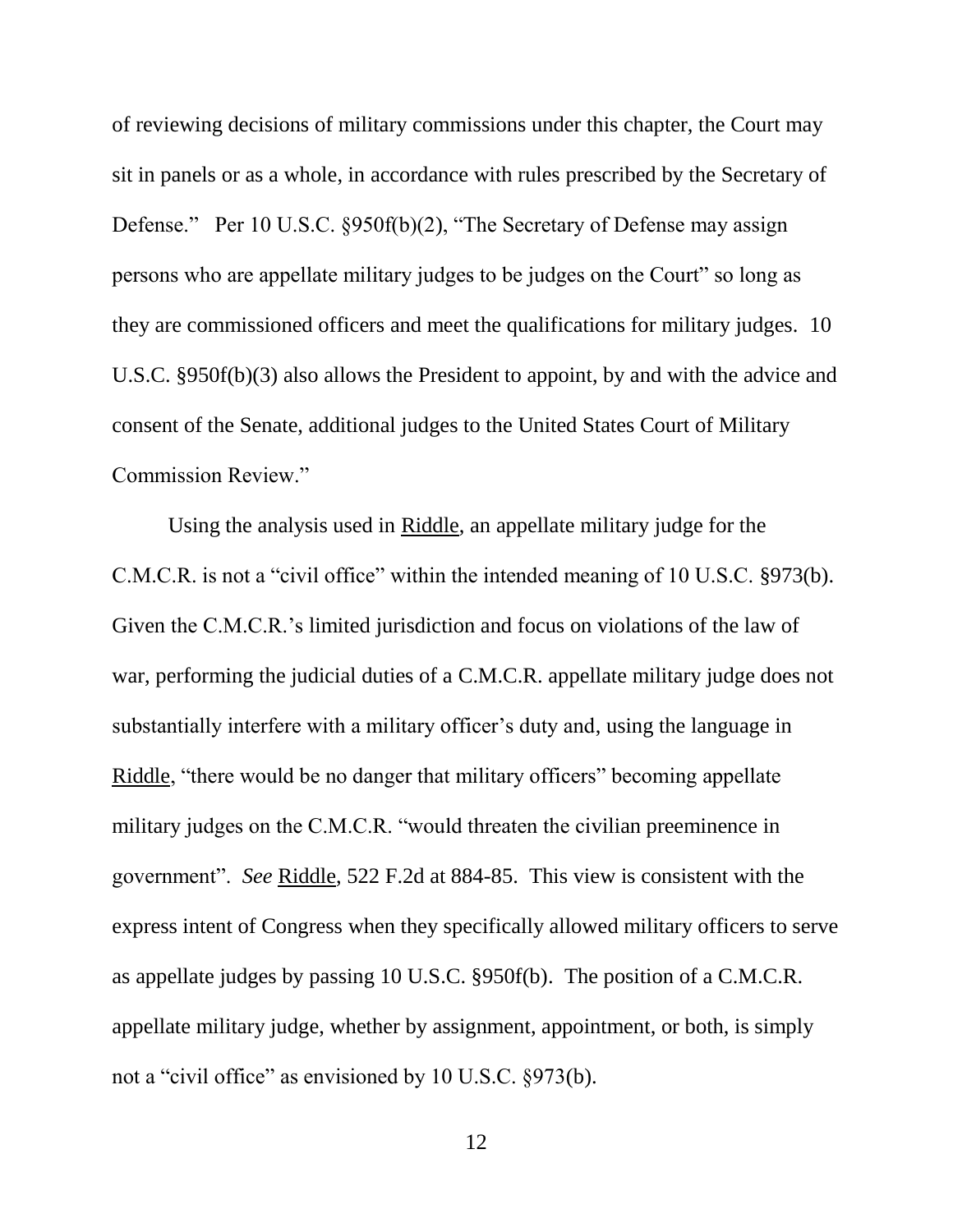of reviewing decisions of military commissions under this chapter, the Court may sit in panels or as a whole, in accordance with rules prescribed by the Secretary of Defense." Per 10 U.S.C. §950f(b)(2), "The Secretary of Defense may assign persons who are appellate military judges to be judges on the Court" so long as they are commissioned officers and meet the qualifications for military judges. 10 U.S.C. §950f(b)(3) also allows the President to appoint, by and with the advice and consent of the Senate, additional judges to the United States Court of Military Commission Review."

Using the analysis used in Riddle, an appellate military judge for the C.M.C.R. is not a "civil office" within the intended meaning of 10 U.S.C. §973(b). Given the C.M.C.R.'s limited jurisdiction and focus on violations of the law of war, performing the judicial duties of a C.M.C.R. appellate military judge does not substantially interfere with a military officer's duty and, using the language in Riddle, "there would be no danger that military officers" becoming appellate military judges on the C.M.C.R. "would threaten the civilian preeminence in government". *See* Riddle, 522 F.2d at 884-85. This view is consistent with the express intent of Congress when they specifically allowed military officers to serve as appellate judges by passing 10 U.S.C. §950f(b). The position of a C.M.C.R. appellate military judge, whether by assignment, appointment, or both, is simply not a "civil office" as envisioned by 10 U.S.C. §973(b).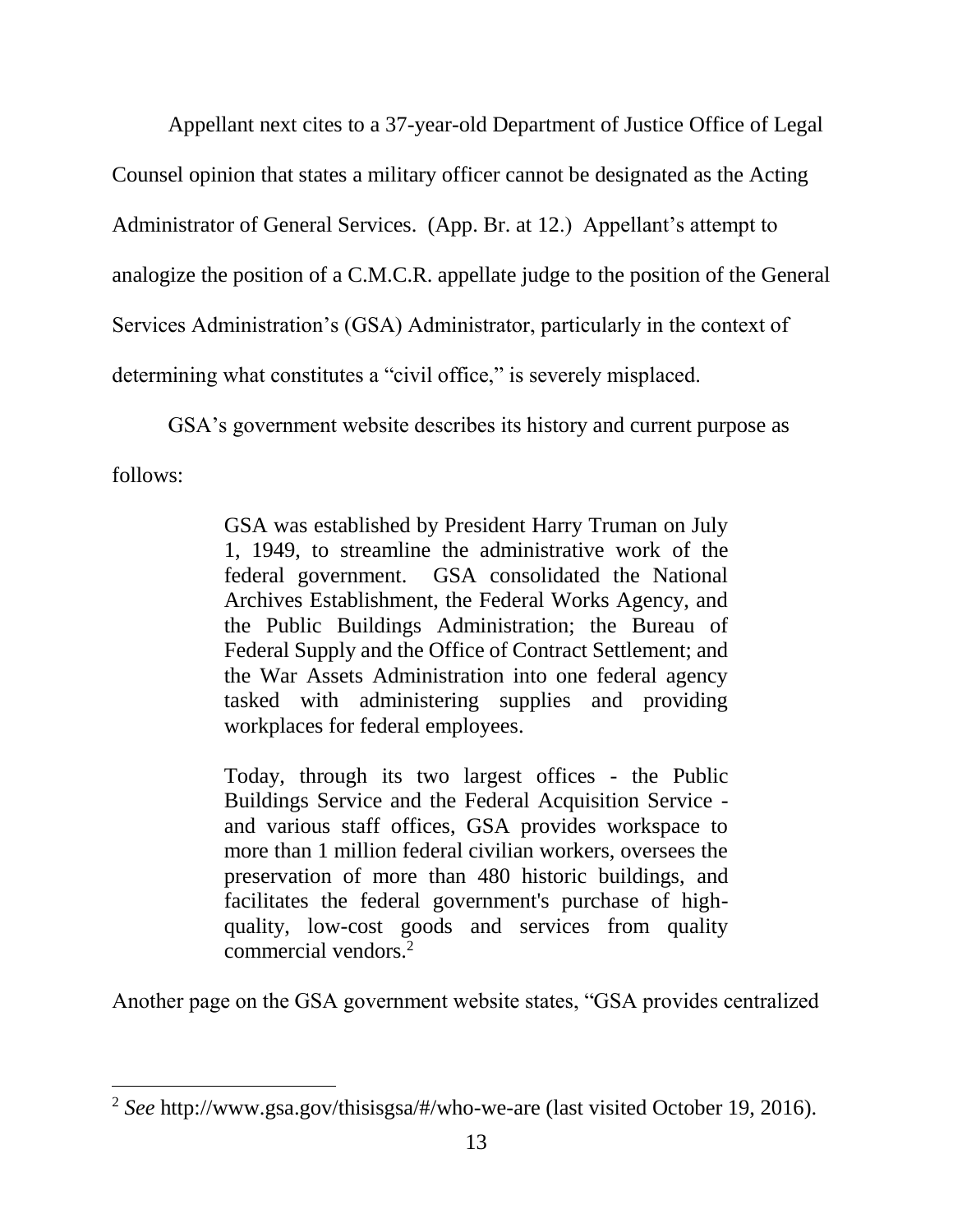Appellant next cites to a 37-year-old Department of Justice Office of Legal Counsel opinion that states a military officer cannot be designated as the Acting Administrator of General Services. (App. Br. at 12.) Appellant's attempt to analogize the position of a C.M.C.R. appellate judge to the position of the General Services Administration's (GSA) Administrator, particularly in the context of determining what constitutes a "civil office," is severely misplaced.

GSA's government website describes its history and current purpose as follows:

> GSA was established by President Harry Truman on July 1, 1949, to streamline the administrative work of the federal government. GSA consolidated the National Archives Establishment, the Federal Works Agency, and the Public Buildings Administration; the Bureau of Federal Supply and the Office of Contract Settlement; and the War Assets Administration into one federal agency tasked with administering supplies and providing workplaces for federal employees.

> Today, through its two largest offices - the Public Buildings Service and the Federal Acquisition Service and various staff offices, GSA provides workspace to more than 1 million federal civilian workers, oversees the preservation of more than 480 historic buildings, and facilitates the federal government's purchase of highquality, low-cost goods and services from quality commercial vendors.<sup>2</sup>

Another page on the GSA government website states, "GSA provides centralized

<sup>2</sup> *See* http://www.gsa.gov/thisisgsa/#/who-we-are (last visited October 19, 2016).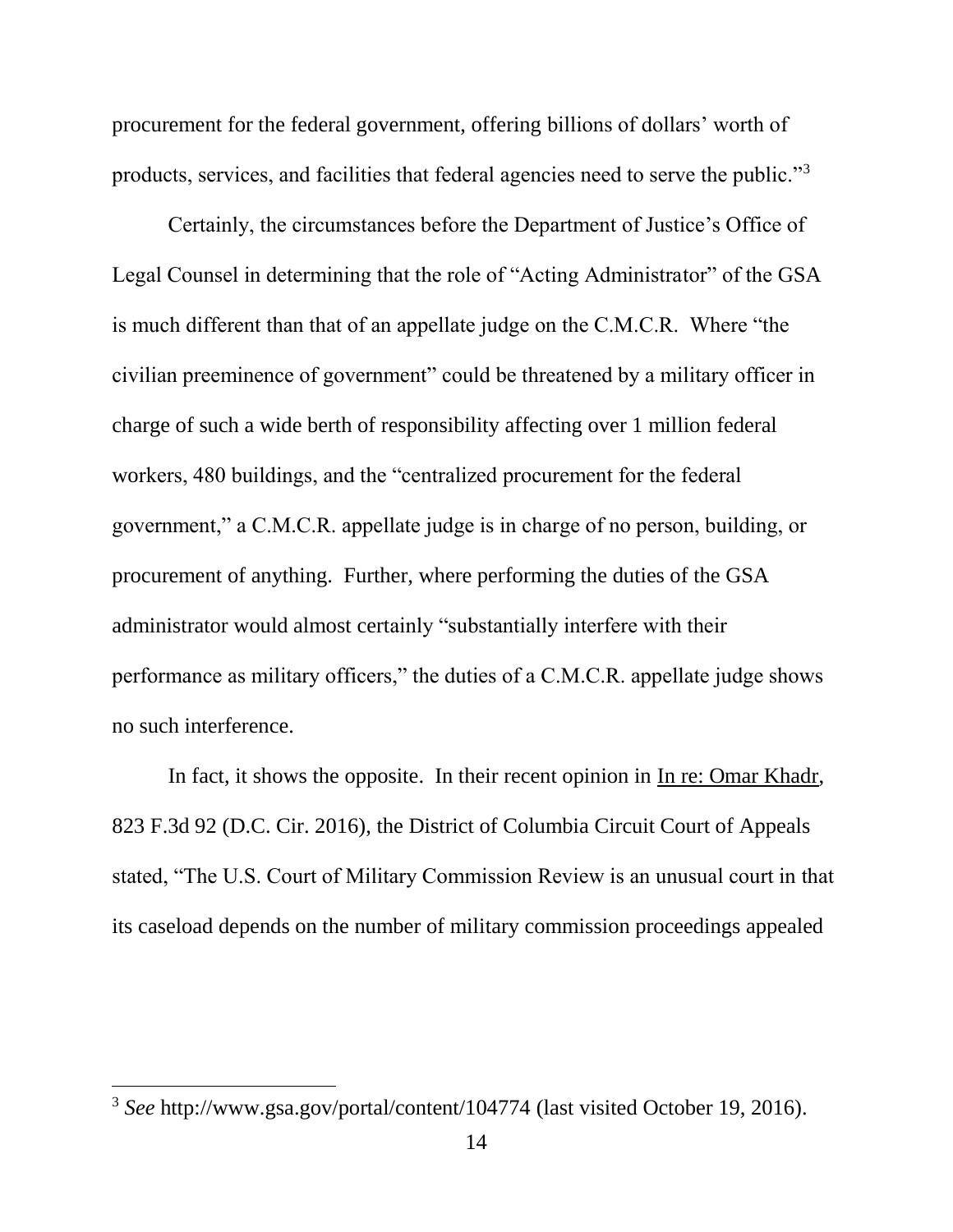procurement for the federal government, offering billions of dollars' worth of products, services, and facilities that federal agencies need to serve the public."<sup>3</sup>

Certainly, the circumstances before the Department of Justice's Office of Legal Counsel in determining that the role of "Acting Administrator" of the GSA is much different than that of an appellate judge on the C.M.C.R. Where "the civilian preeminence of government" could be threatened by a military officer in charge of such a wide berth of responsibility affecting over 1 million federal workers, 480 buildings, and the "centralized procurement for the federal government," a C.M.C.R. appellate judge is in charge of no person, building, or procurement of anything. Further, where performing the duties of the GSA administrator would almost certainly "substantially interfere with their performance as military officers," the duties of a C.M.C.R. appellate judge shows no such interference.

In fact, it shows the opposite. In their recent opinion in In re: Omar Khadr, 823 F.3d 92 (D.C. Cir. 2016), the District of Columbia Circuit Court of Appeals stated, "The U.S. Court of Military Commission Review is an unusual court in that its caseload depends on the number of military commission proceedings appealed

<sup>3</sup> *See* http://www.gsa.gov/portal/content/104774 (last visited October 19, 2016).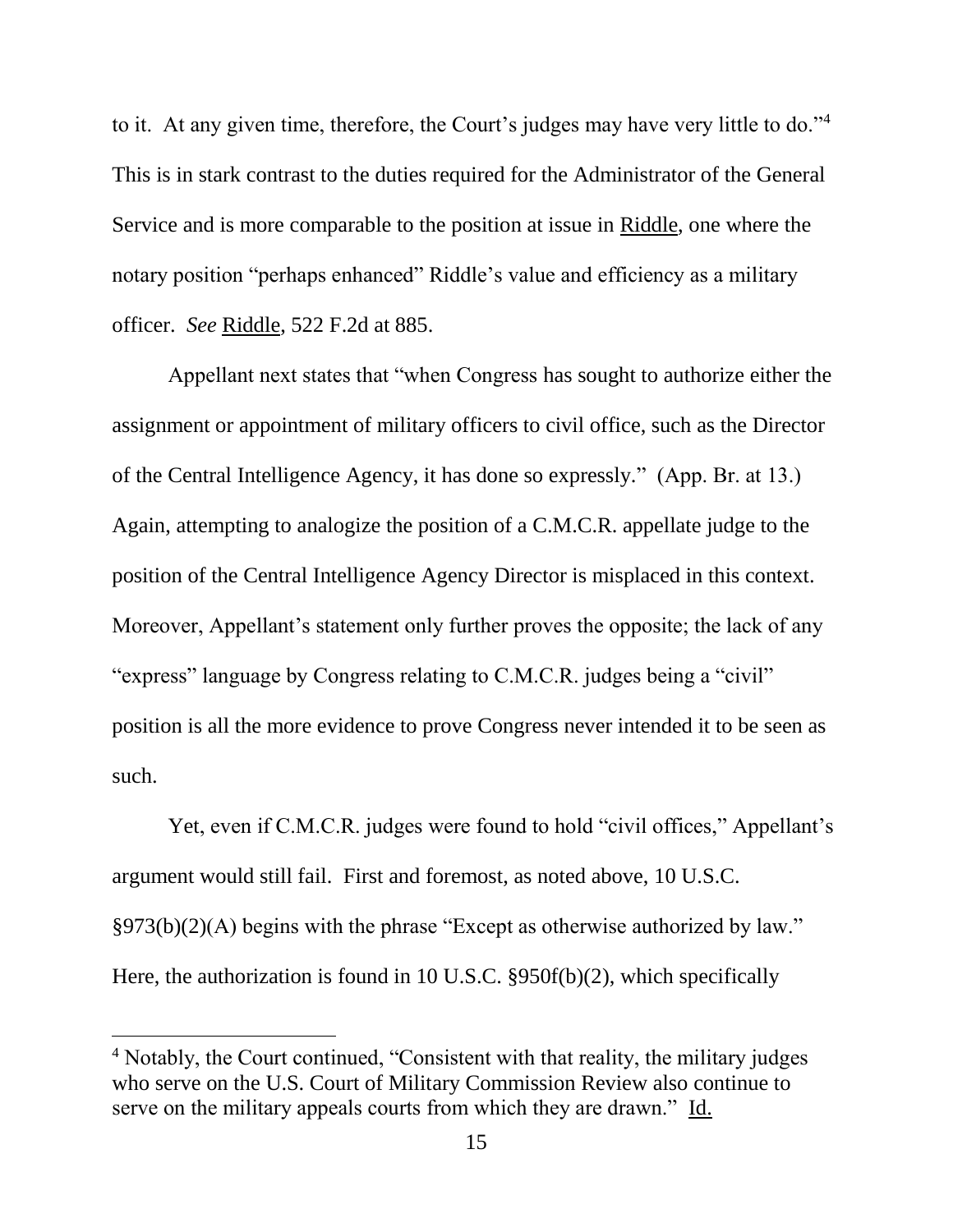to it. At any given time, therefore, the Court's judges may have very little to do."<sup>4</sup> This is in stark contrast to the duties required for the Administrator of the General Service and is more comparable to the position at issue in Riddle, one where the notary position "perhaps enhanced" Riddle's value and efficiency as a military officer. *See* Riddle, 522 F.2d at 885.

Appellant next states that "when Congress has sought to authorize either the assignment or appointment of military officers to civil office, such as the Director of the Central Intelligence Agency, it has done so expressly." (App. Br. at 13.) Again, attempting to analogize the position of a C.M.C.R. appellate judge to the position of the Central Intelligence Agency Director is misplaced in this context. Moreover, Appellant's statement only further proves the opposite; the lack of any "express" language by Congress relating to C.M.C.R. judges being a "civil" position is all the more evidence to prove Congress never intended it to be seen as such.

Yet, even if C.M.C.R. judges were found to hold "civil offices," Appellant's argument would still fail. First and foremost, as noted above, 10 U.S.C. §973(b)(2)(A) begins with the phrase "Except as otherwise authorized by law." Here, the authorization is found in 10 U.S.C. §950f(b)(2), which specifically

<sup>4</sup> Notably, the Court continued, "Consistent with that reality, the military judges who serve on the U.S. Court of Military Commission Review also continue to serve on the military appeals courts from which they are drawn." Id.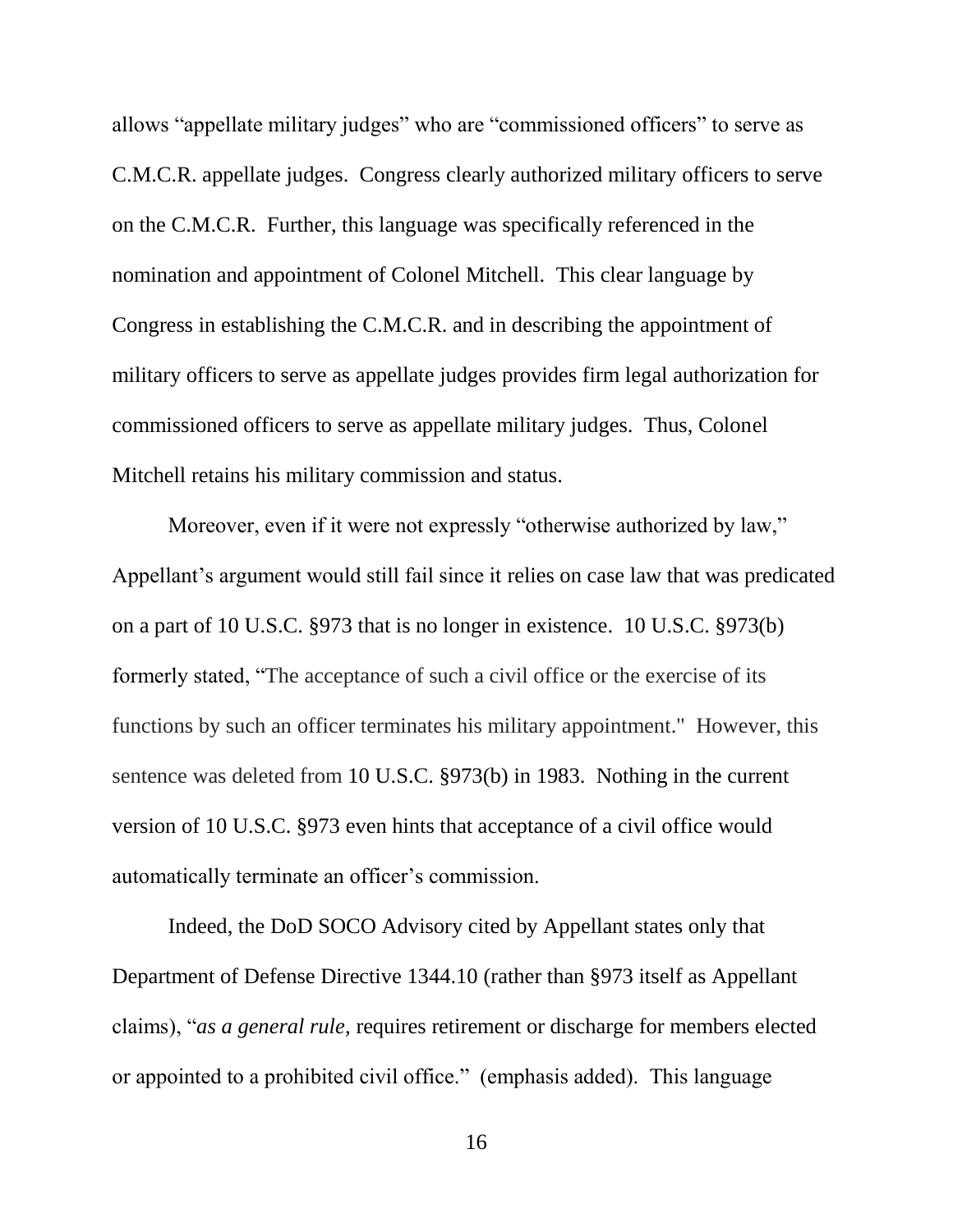allows "appellate military judges" who are "commissioned officers" to serve as C.M.C.R. appellate judges. Congress clearly authorized military officers to serve on the C.M.C.R. Further, this language was specifically referenced in the nomination and appointment of Colonel Mitchell. This clear language by Congress in establishing the C.M.C.R. and in describing the appointment of military officers to serve as appellate judges provides firm legal authorization for commissioned officers to serve as appellate military judges. Thus, Colonel Mitchell retains his military commission and status.

Moreover, even if it were not expressly "otherwise authorized by law," Appellant's argument would still fail since it relies on case law that was predicated on a part of 10 U.S.C. §973 that is no longer in existence. 10 U.S.C. §973(b) formerly stated, "The acceptance of such a civil office or the exercise of its functions by such an officer terminates his military appointment." However, this sentence was deleted from 10 U.S.C. §973(b) in 1983. Nothing in the current version of 10 U.S.C. §973 even hints that acceptance of a civil office would automatically terminate an officer's commission.

Indeed, the DoD SOCO Advisory cited by Appellant states only that Department of Defense Directive 1344.10 (rather than §973 itself as Appellant claims), "*as a general rule,* requires retirement or discharge for members elected or appointed to a prohibited civil office." (emphasis added). This language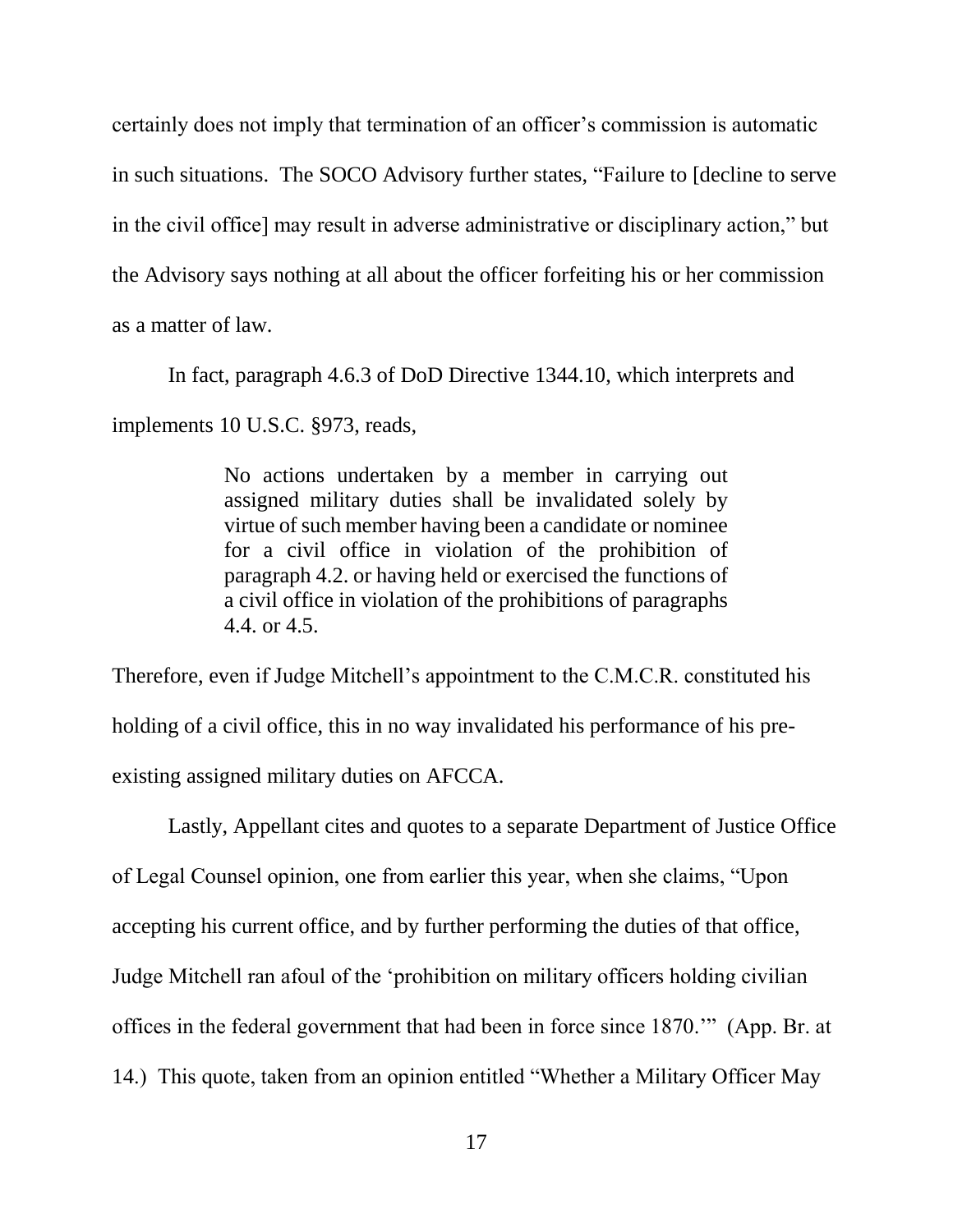certainly does not imply that termination of an officer's commission is automatic in such situations. The SOCO Advisory further states, "Failure to [decline to serve in the civil office] may result in adverse administrative or disciplinary action," but the Advisory says nothing at all about the officer forfeiting his or her commission as a matter of law.

In fact, paragraph 4.6.3 of DoD Directive 1344.10, which interprets and implements 10 U.S.C. §973, reads,

> No actions undertaken by a member in carrying out assigned military duties shall be invalidated solely by virtue of such member having been a candidate or nominee for a civil office in violation of the prohibition of paragraph 4.2. or having held or exercised the functions of a civil office in violation of the prohibitions of paragraphs 4.4. or 4.5.

Therefore, even if Judge Mitchell's appointment to the C.M.C.R. constituted his holding of a civil office, this in no way invalidated his performance of his preexisting assigned military duties on AFCCA.

Lastly, Appellant cites and quotes to a separate Department of Justice Office of Legal Counsel opinion, one from earlier this year, when she claims, "Upon accepting his current office, and by further performing the duties of that office, Judge Mitchell ran afoul of the 'prohibition on military officers holding civilian offices in the federal government that had been in force since 1870.'" (App. Br. at 14.) This quote, taken from an opinion entitled "Whether a Military Officer May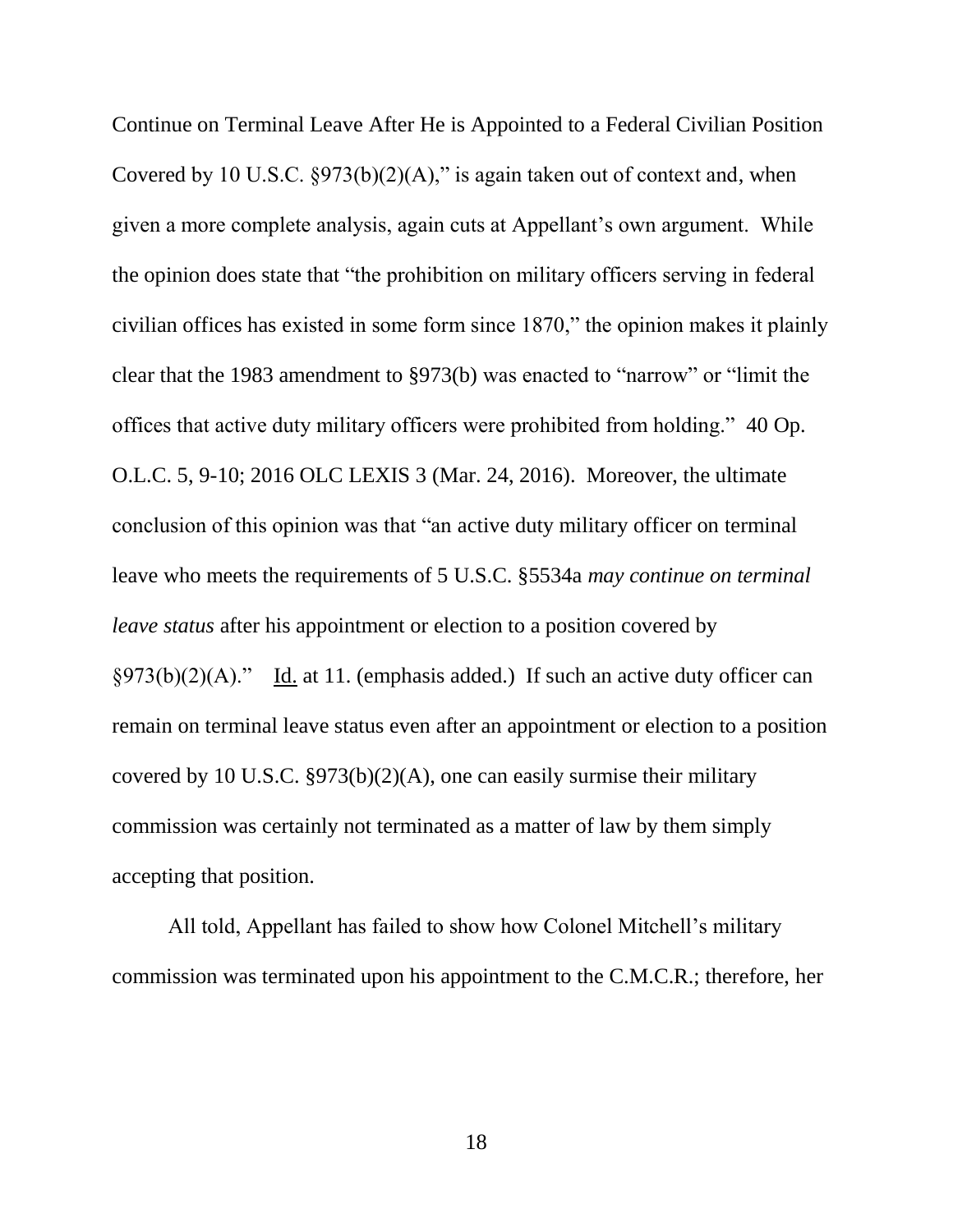Continue on Terminal Leave After He is Appointed to a Federal Civilian Position Covered by 10 U.S.C.  $\S973(b)(2)(A)$ ," is again taken out of context and, when given a more complete analysis, again cuts at Appellant's own argument. While the opinion does state that "the prohibition on military officers serving in federal civilian offices has existed in some form since 1870," the opinion makes it plainly clear that the 1983 amendment to §973(b) was enacted to "narrow" or "limit the offices that active duty military officers were prohibited from holding." 40 Op. O.L.C. 5, 9-10; 2016 OLC LEXIS 3 (Mar. 24, 2016). Moreover, the ultimate conclusion of this opinion was that "an active duty military officer on terminal leave who meets the requirements of 5 U.S.C. §5534a *may continue on terminal leave status* after his appointment or election to a position covered by  $\S 973(b)(2)(A)$ ." Id. at 11. (emphasis added.) If such an active duty officer can remain on terminal leave status even after an appointment or election to a position covered by 10 U.S.C. §973(b)(2)(A), one can easily surmise their military commission was certainly not terminated as a matter of law by them simply accepting that position.

All told, Appellant has failed to show how Colonel Mitchell's military commission was terminated upon his appointment to the C.M.C.R.; therefore, her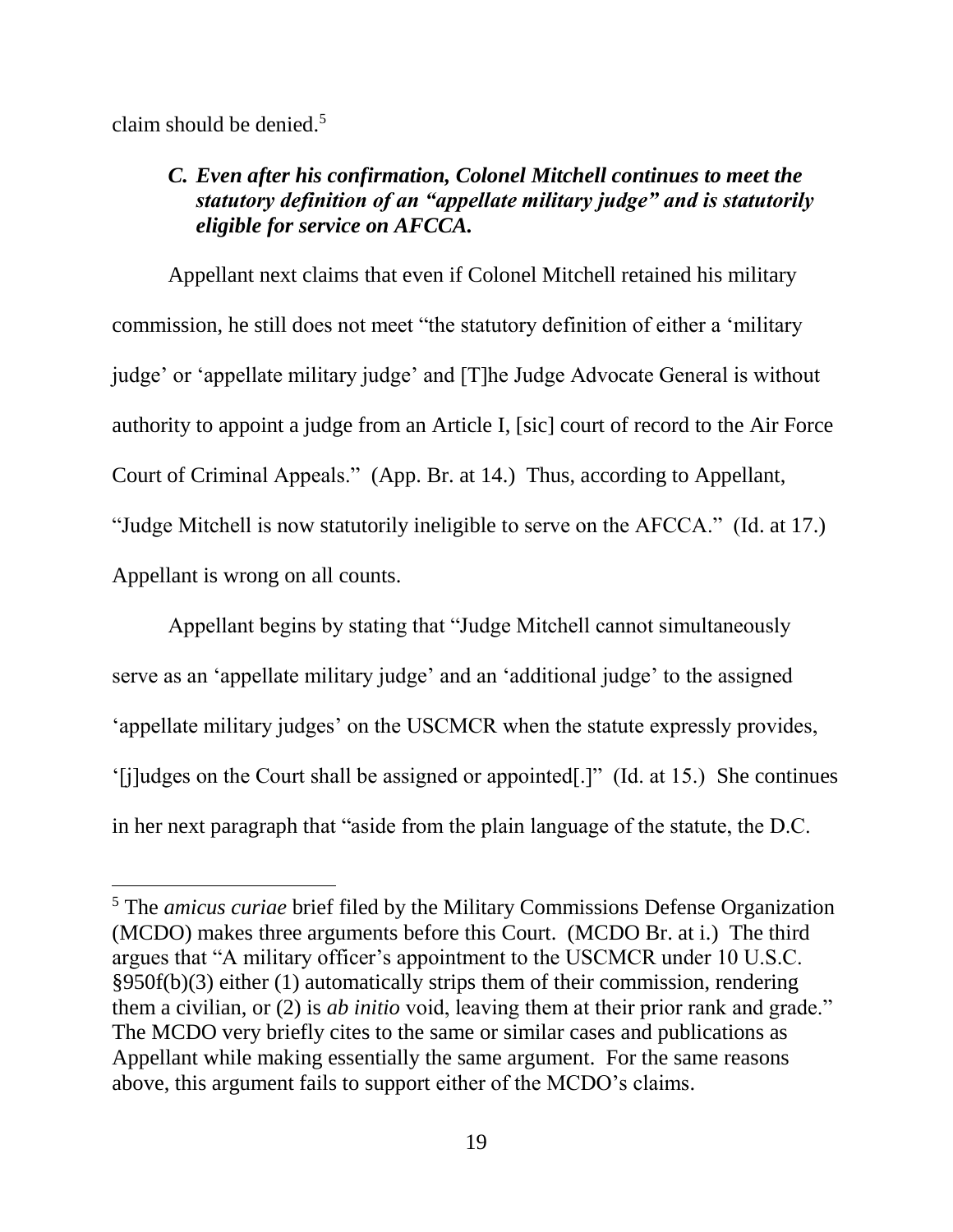claim should be denied.<sup>5</sup> 

 $\overline{a}$ 

## *C. Even after his confirmation, Colonel Mitchell continues to meet the statutory definition of an "appellate military judge" and is statutorily eligible for service on AFCCA.*

Appellant next claims that even if Colonel Mitchell retained his military commission, he still does not meet "the statutory definition of either a 'military judge' or 'appellate military judge' and [T]he Judge Advocate General is without authority to appoint a judge from an Article I, [sic] court of record to the Air Force Court of Criminal Appeals." (App. Br. at 14.) Thus, according to Appellant, "Judge Mitchell is now statutorily ineligible to serve on the AFCCA." (Id. at 17.) Appellant is wrong on all counts.

Appellant begins by stating that "Judge Mitchell cannot simultaneously serve as an 'appellate military judge' and an 'additional judge' to the assigned 'appellate military judges' on the USCMCR when the statute expressly provides, '[j]udges on the Court shall be assigned or appointed[.]" (Id. at 15.) She continues in her next paragraph that "aside from the plain language of the statute, the D.C.

<sup>5</sup> The *amicus curiae* brief filed by the Military Commissions Defense Organization (MCDO) makes three arguments before this Court. (MCDO Br. at i.) The third argues that "A military officer's appointment to the USCMCR under 10 U.S.C. §950f(b)(3) either (1) automatically strips them of their commission, rendering them a civilian, or (2) is *ab initio* void, leaving them at their prior rank and grade." The MCDO very briefly cites to the same or similar cases and publications as Appellant while making essentially the same argument. For the same reasons above, this argument fails to support either of the MCDO's claims.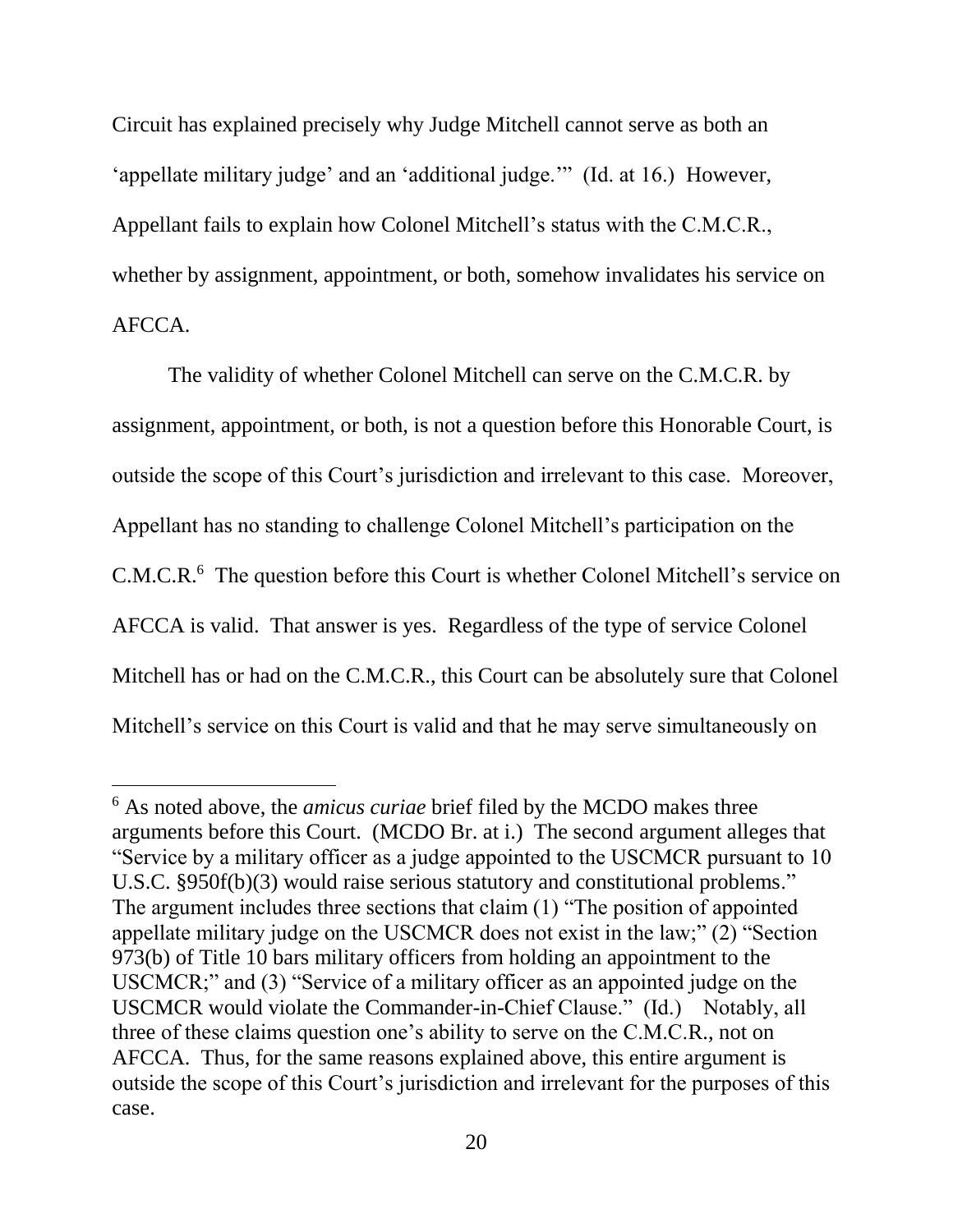Circuit has explained precisely why Judge Mitchell cannot serve as both an 'appellate military judge' and an 'additional judge.'" (Id. at 16.) However, Appellant fails to explain how Colonel Mitchell's status with the C.M.C.R., whether by assignment, appointment, or both, somehow invalidates his service on AFCCA.

The validity of whether Colonel Mitchell can serve on the C.M.C.R. by assignment, appointment, or both, is not a question before this Honorable Court, is outside the scope of this Court's jurisdiction and irrelevant to this case. Moreover, Appellant has no standing to challenge Colonel Mitchell's participation on the C.M.C.R.<sup>6</sup> The question before this Court is whether Colonel Mitchell's service on AFCCA is valid. That answer is yes. Regardless of the type of service Colonel Mitchell has or had on the C.M.C.R., this Court can be absolutely sure that Colonel Mitchell's service on this Court is valid and that he may serve simultaneously on

<sup>6</sup> As noted above, the *amicus curiae* brief filed by the MCDO makes three arguments before this Court. (MCDO Br. at i.) The second argument alleges that "Service by a military officer as a judge appointed to the USCMCR pursuant to 10 U.S.C. §950f(b)(3) would raise serious statutory and constitutional problems." The argument includes three sections that claim (1) "The position of appointed appellate military judge on the USCMCR does not exist in the law;" (2) "Section 973(b) of Title 10 bars military officers from holding an appointment to the USCMCR;" and (3) "Service of a military officer as an appointed judge on the USCMCR would violate the Commander-in-Chief Clause." (Id.) Notably, all three of these claims question one's ability to serve on the C.M.C.R., not on AFCCA. Thus, for the same reasons explained above, this entire argument is outside the scope of this Court's jurisdiction and irrelevant for the purposes of this case.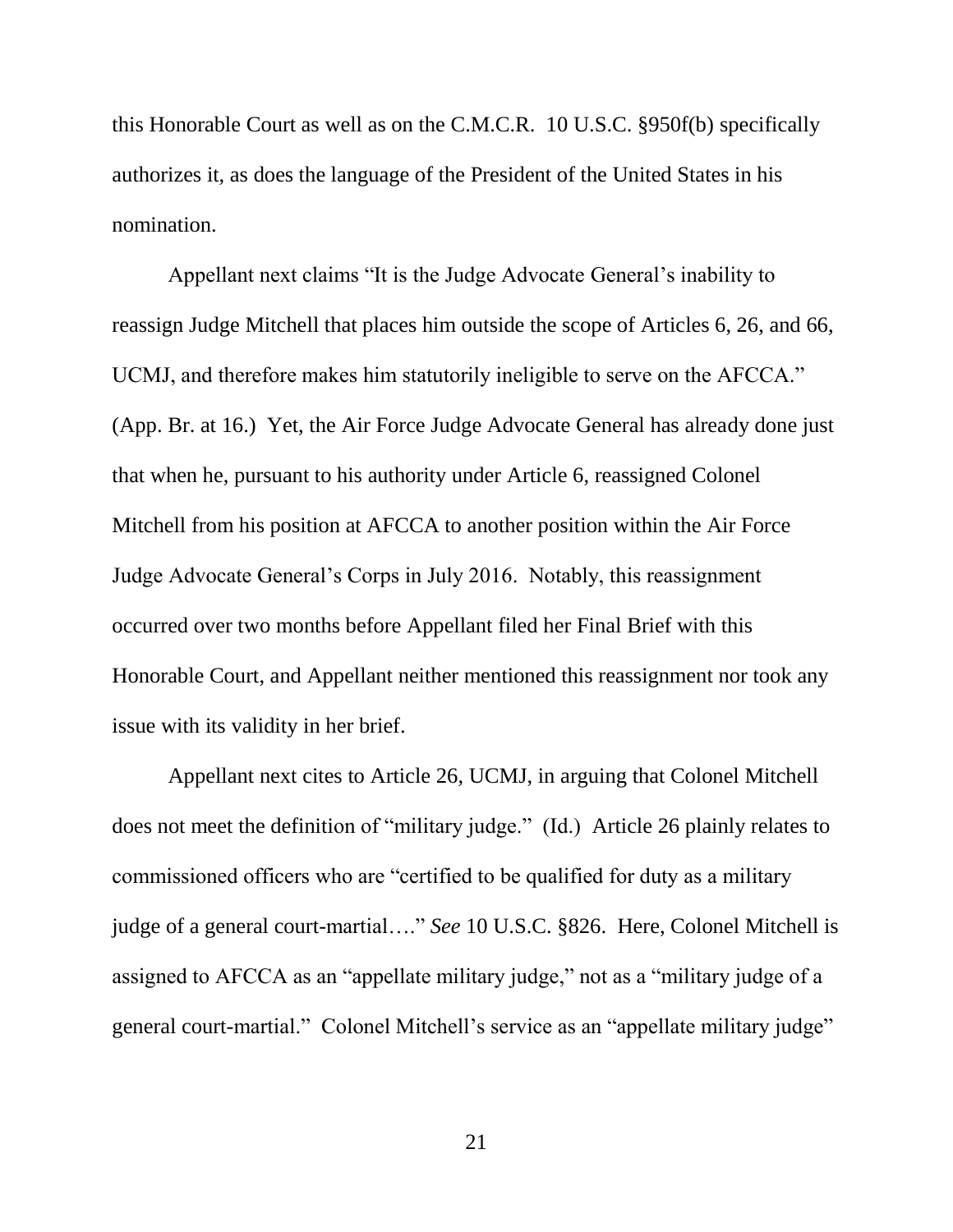this Honorable Court as well as on the C.M.C.R. 10 U.S.C. §950f(b) specifically authorizes it, as does the language of the President of the United States in his nomination.

Appellant next claims "It is the Judge Advocate General's inability to reassign Judge Mitchell that places him outside the scope of Articles 6, 26, and 66, UCMJ, and therefore makes him statutorily ineligible to serve on the AFCCA." (App. Br. at 16.) Yet, the Air Force Judge Advocate General has already done just that when he, pursuant to his authority under Article 6, reassigned Colonel Mitchell from his position at AFCCA to another position within the Air Force Judge Advocate General's Corps in July 2016. Notably, this reassignment occurred over two months before Appellant filed her Final Brief with this Honorable Court, and Appellant neither mentioned this reassignment nor took any issue with its validity in her brief.

Appellant next cites to Article 26, UCMJ, in arguing that Colonel Mitchell does not meet the definition of "military judge." (Id.) Article 26 plainly relates to commissioned officers who are "certified to be qualified for duty as a military judge of a general court-martial…." *See* 10 U.S.C. §826. Here, Colonel Mitchell is assigned to AFCCA as an "appellate military judge," not as a "military judge of a general court-martial." Colonel Mitchell's service as an "appellate military judge"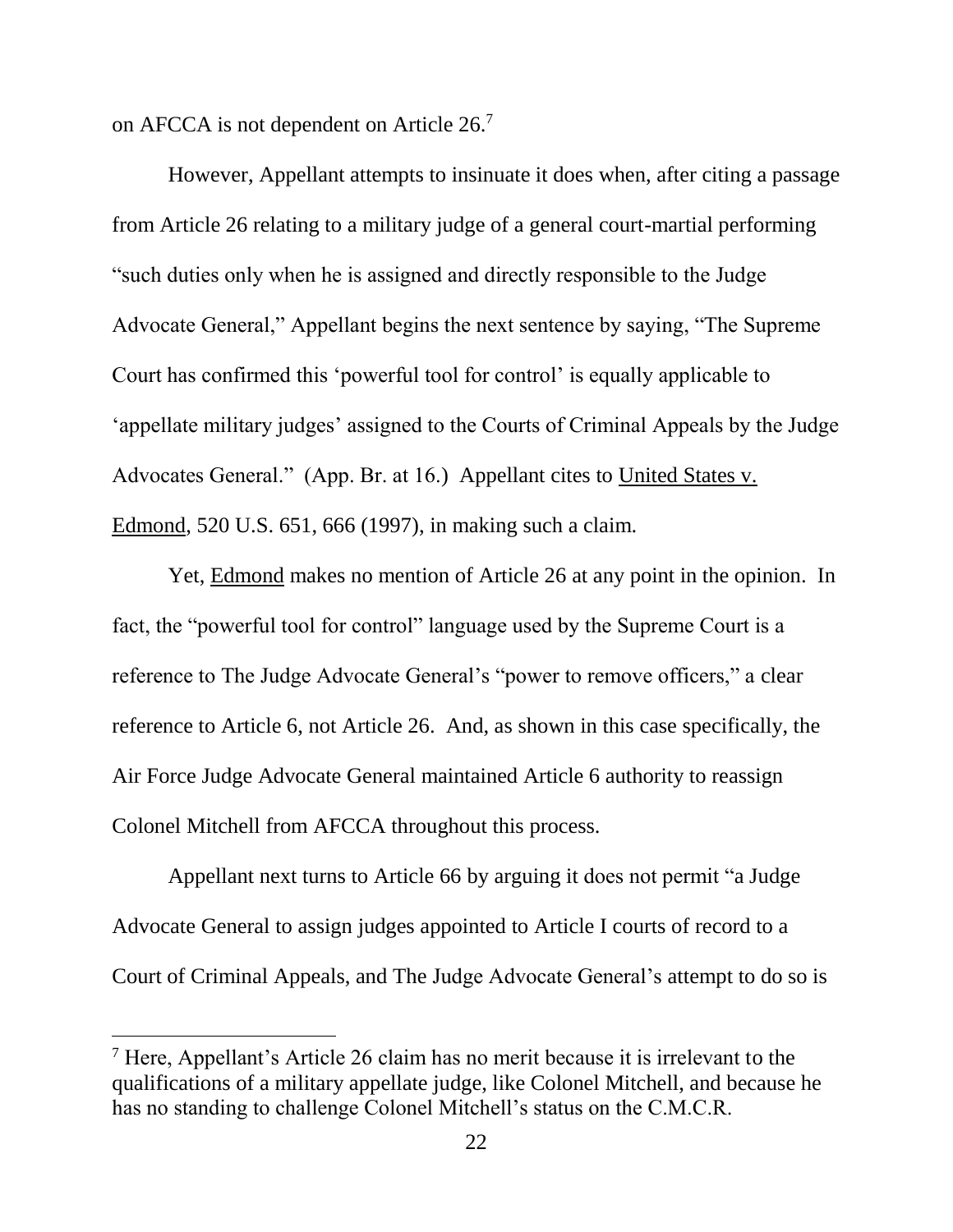on AFCCA is not dependent on Article  $26$ .<sup>7</sup>

However, Appellant attempts to insinuate it does when, after citing a passage from Article 26 relating to a military judge of a general court-martial performing "such duties only when he is assigned and directly responsible to the Judge Advocate General," Appellant begins the next sentence by saying, "The Supreme Court has confirmed this 'powerful tool for control' is equally applicable to 'appellate military judges' assigned to the Courts of Criminal Appeals by the Judge Advocates General." (App. Br. at 16.) Appellant cites to United States v. Edmond, 520 U.S. 651, 666 (1997), in making such a claim.

Yet, Edmond makes no mention of Article 26 at any point in the opinion. In fact, the "powerful tool for control" language used by the Supreme Court is a reference to The Judge Advocate General's "power to remove officers," a clear reference to Article 6, not Article 26. And, as shown in this case specifically, the Air Force Judge Advocate General maintained Article 6 authority to reassign Colonel Mitchell from AFCCA throughout this process.

Appellant next turns to Article 66 by arguing it does not permit "a Judge Advocate General to assign judges appointed to Article I courts of record to a Court of Criminal Appeals, and The Judge Advocate General's attempt to do so is

<sup>7</sup> Here, Appellant's Article 26 claim has no merit because it is irrelevant to the qualifications of a military appellate judge, like Colonel Mitchell, and because he has no standing to challenge Colonel Mitchell's status on the C.M.C.R.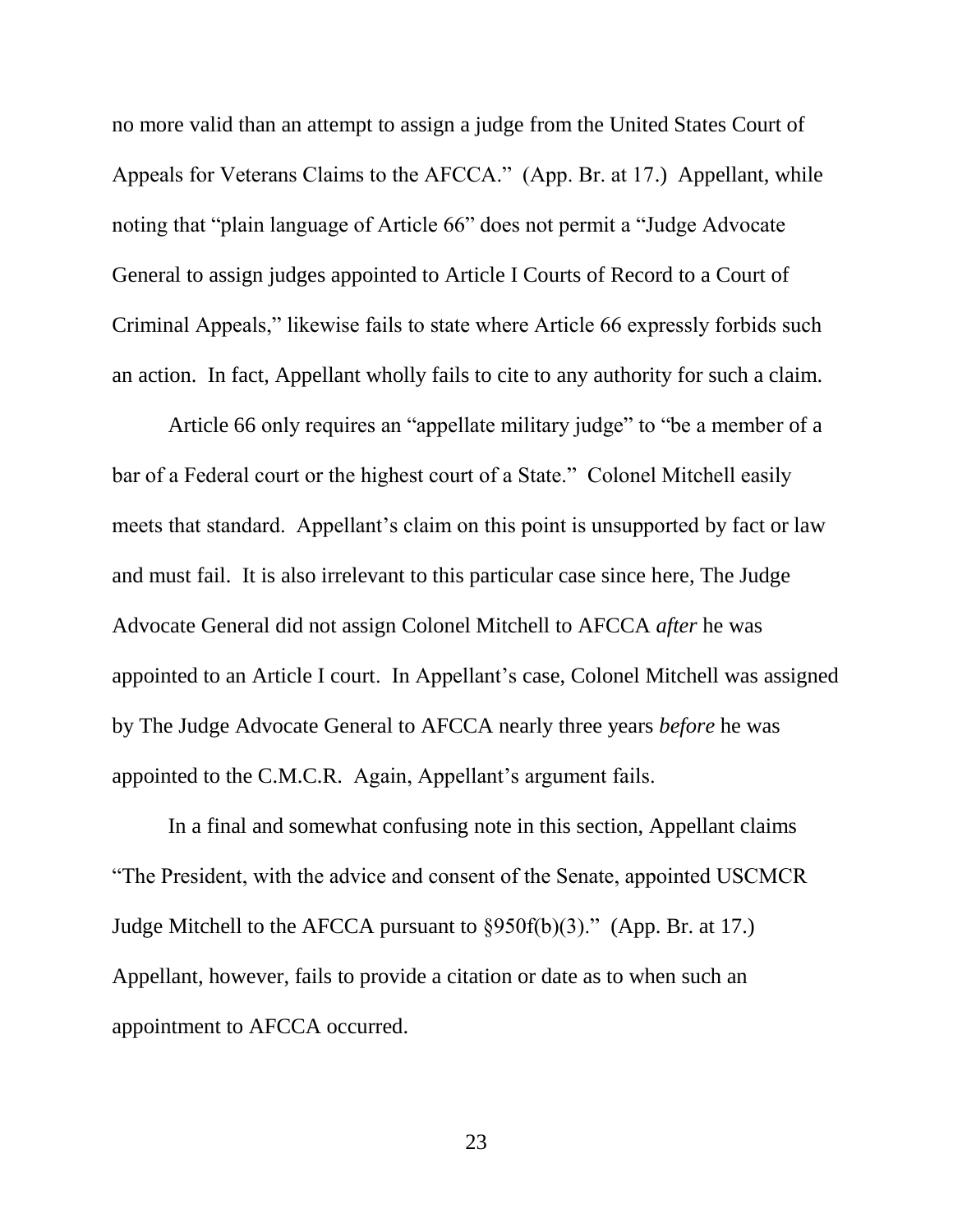no more valid than an attempt to assign a judge from the United States Court of Appeals for Veterans Claims to the AFCCA." (App. Br. at 17.) Appellant, while noting that "plain language of Article 66" does not permit a "Judge Advocate General to assign judges appointed to Article I Courts of Record to a Court of Criminal Appeals," likewise fails to state where Article 66 expressly forbids such an action. In fact, Appellant wholly fails to cite to any authority for such a claim.

Article 66 only requires an "appellate military judge" to "be a member of a bar of a Federal court or the highest court of a State." Colonel Mitchell easily meets that standard. Appellant's claim on this point is unsupported by fact or law and must fail. It is also irrelevant to this particular case since here, The Judge Advocate General did not assign Colonel Mitchell to AFCCA *after* he was appointed to an Article I court. In Appellant's case, Colonel Mitchell was assigned by The Judge Advocate General to AFCCA nearly three years *before* he was appointed to the C.M.C.R. Again, Appellant's argument fails.

In a final and somewhat confusing note in this section, Appellant claims "The President, with the advice and consent of the Senate, appointed USCMCR Judge Mitchell to the AFCCA pursuant to §950f(b)(3)." (App. Br. at 17.) Appellant, however, fails to provide a citation or date as to when such an appointment to AFCCA occurred.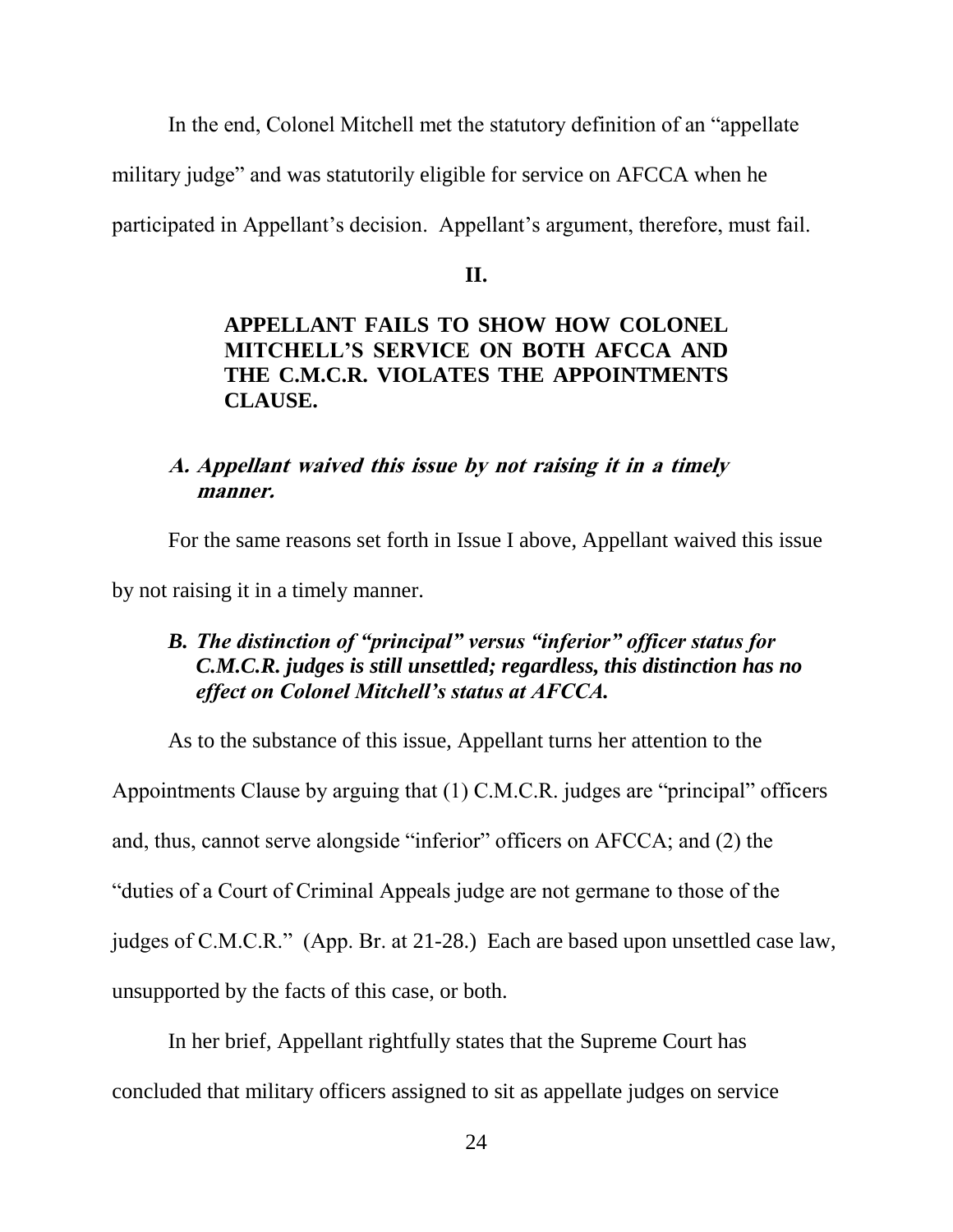In the end, Colonel Mitchell met the statutory definition of an "appellate

military judge" and was statutorily eligible for service on AFCCA when he

<span id="page-28-0"></span>participated in Appellant's decision. Appellant's argument, therefore, must fail.

### **II.**

# **APPELLANT FAILS TO SHOW HOW COLONEL MITCHELL'S SERVICE ON BOTH AFCCA AND THE C.M.C.R. VIOLATES THE APPOINTMENTS CLAUSE.**

# **A. Appellant waived this issue by not raising it in a timely manner.**

For the same reasons set forth in Issue I above, Appellant waived this issue

by not raising it in a timely manner.

# *B. The distinction of "principal" versus "inferior" officer status for C.M.C.R. judges is still unsettled; regardless, this distinction has no effect on Colonel Mitchell's status at AFCCA.*

As to the substance of this issue, Appellant turns her attention to the

Appointments Clause by arguing that (1) C.M.C.R. judges are "principal" officers

and, thus, cannot serve alongside "inferior" officers on AFCCA; and (2) the

"duties of a Court of Criminal Appeals judge are not germane to those of the

judges of C.M.C.R." (App. Br. at 21-28.) Each are based upon unsettled case law,

unsupported by the facts of this case, or both.

In her brief, Appellant rightfully states that the Supreme Court has concluded that military officers assigned to sit as appellate judges on service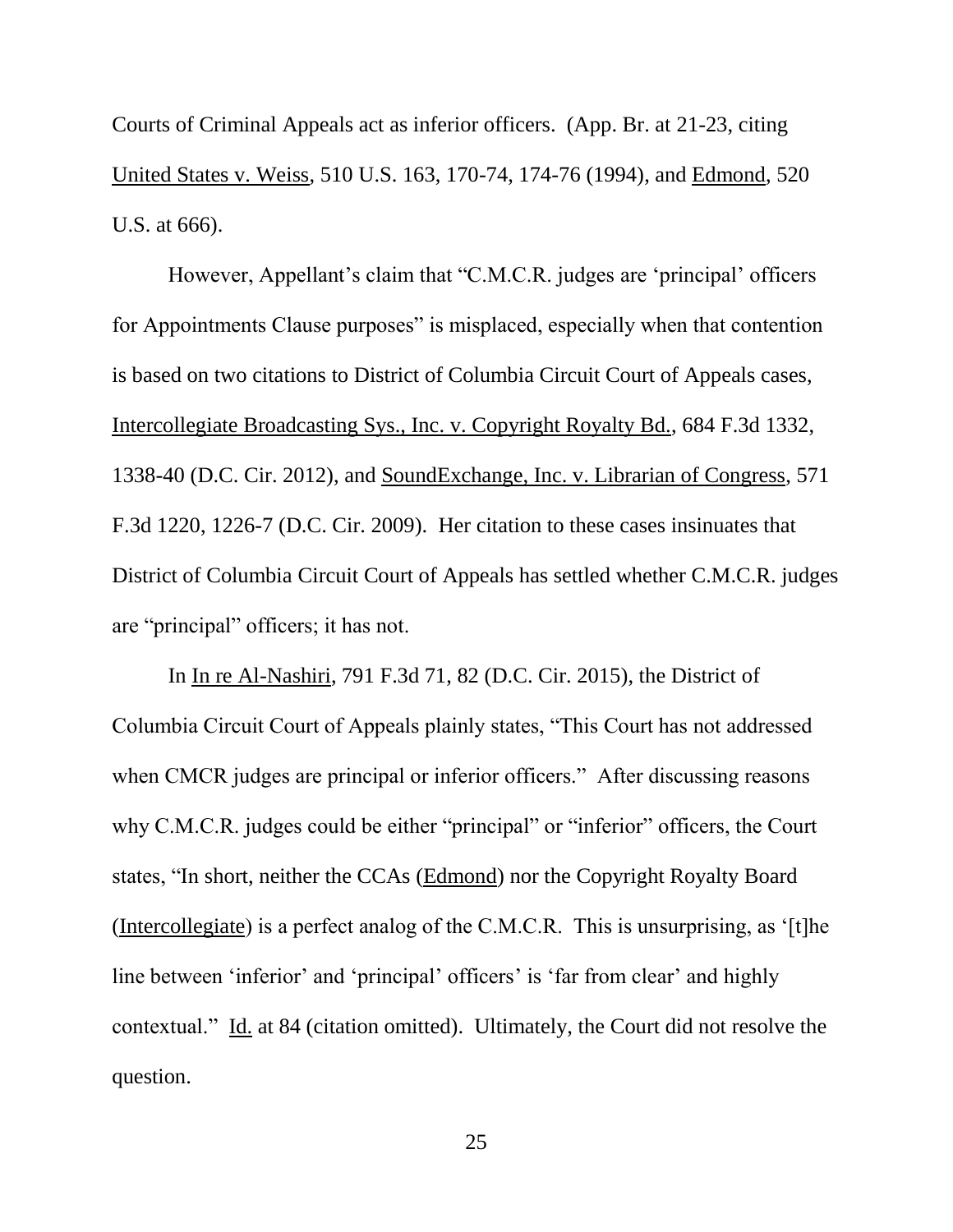Courts of Criminal Appeals act as inferior officers. (App. Br. at 21-23, citing United States v. Weiss, 510 U.S. 163, 170-74, 174-76 (1994), and Edmond, 520 U.S. at 666).

However, Appellant's claim that "C.M.C.R. judges are 'principal' officers for Appointments Clause purposes" is misplaced, especially when that contention is based on two citations to District of Columbia Circuit Court of Appeals cases, Intercollegiate Broadcasting Sys., Inc. v. Copyright Royalty Bd., 684 F.3d 1332, 1338-40 (D.C. Cir. 2012), and SoundExchange, Inc. v. Librarian of Congress, 571 F.3d 1220, 1226-7 (D.C. Cir. 2009). Her citation to these cases insinuates that District of Columbia Circuit Court of Appeals has settled whether C.M.C.R. judges are "principal" officers; it has not.

In In re Al-Nashiri, 791 F.3d 71, 82 (D.C. Cir. 2015), the District of Columbia Circuit Court of Appeals plainly states, "This Court has not addressed when CMCR judges are principal or inferior officers." After discussing reasons why C.M.C.R. judges could be either "principal" or "inferior" officers, the Court states, "In short, neither the CCAs (Edmond) nor the Copyright Royalty Board (Intercollegiate) is a perfect analog of the C.M.C.R. This is unsurprising, as '[t]he line between 'inferior' and 'principal' officers' is 'far from clear' and highly contextual." Id. at 84 (citation omitted). Ultimately, the Court did not resolve the question.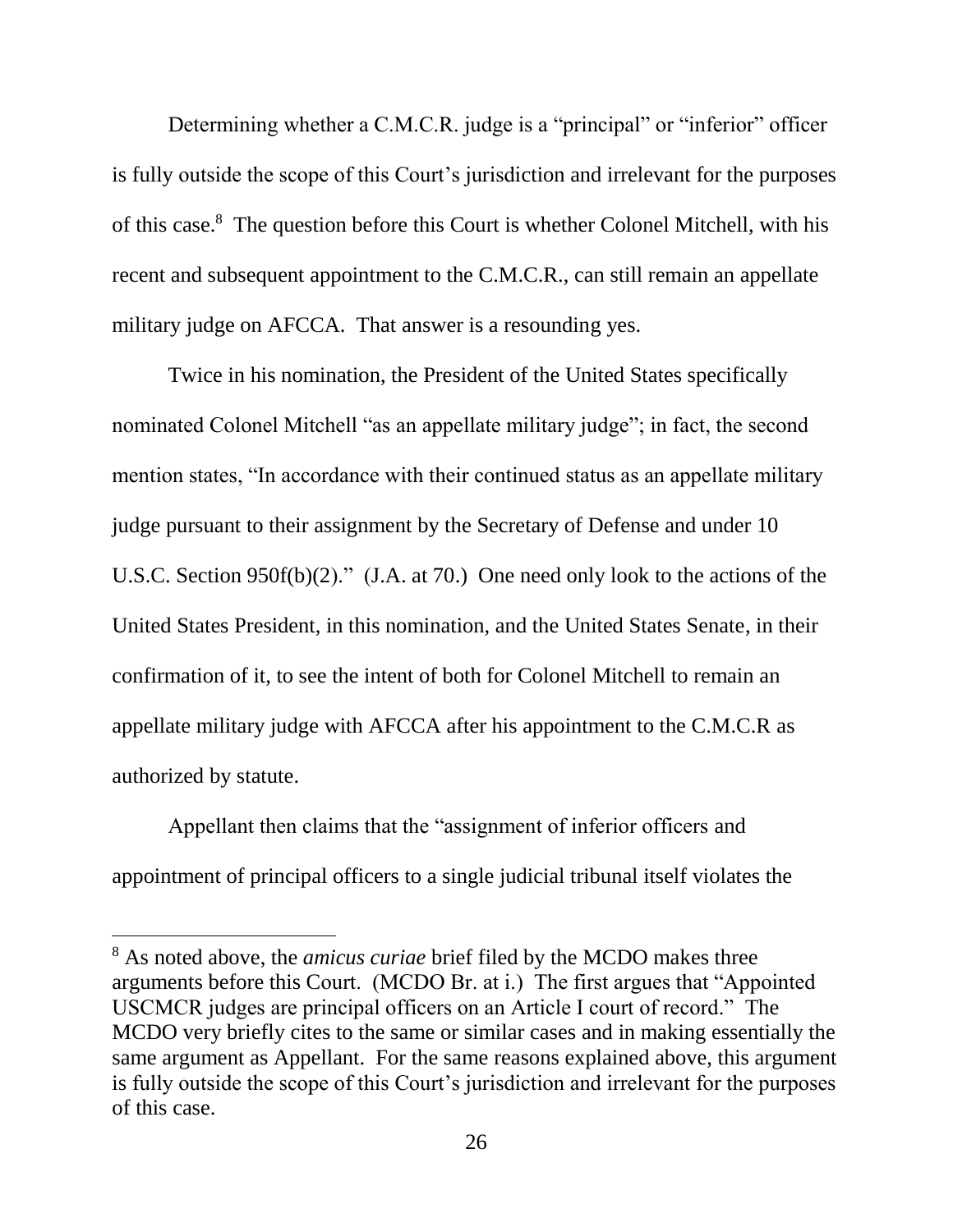Determining whether a C.M.C.R. judge is a "principal" or "inferior" officer is fully outside the scope of this Court's jurisdiction and irrelevant for the purposes of this case.<sup>8</sup> The question before this Court is whether Colonel Mitchell, with his recent and subsequent appointment to the C.M.C.R., can still remain an appellate military judge on AFCCA. That answer is a resounding yes.

Twice in his nomination, the President of the United States specifically nominated Colonel Mitchell "as an appellate military judge"; in fact, the second mention states, "In accordance with their continued status as an appellate military judge pursuant to their assignment by the Secretary of Defense and under 10 U.S.C. Section 950f(b)(2)." (J.A. at 70.) One need only look to the actions of the United States President, in this nomination, and the United States Senate, in their confirmation of it, to see the intent of both for Colonel Mitchell to remain an appellate military judge with AFCCA after his appointment to the C.M.C.R as authorized by statute.

Appellant then claims that the "assignment of inferior officers and appointment of principal officers to a single judicial tribunal itself violates the

<sup>8</sup> As noted above, the *amicus curiae* brief filed by the MCDO makes three arguments before this Court. (MCDO Br. at i.) The first argues that "Appointed USCMCR judges are principal officers on an Article I court of record." The MCDO very briefly cites to the same or similar cases and in making essentially the same argument as Appellant. For the same reasons explained above, this argument is fully outside the scope of this Court's jurisdiction and irrelevant for the purposes of this case.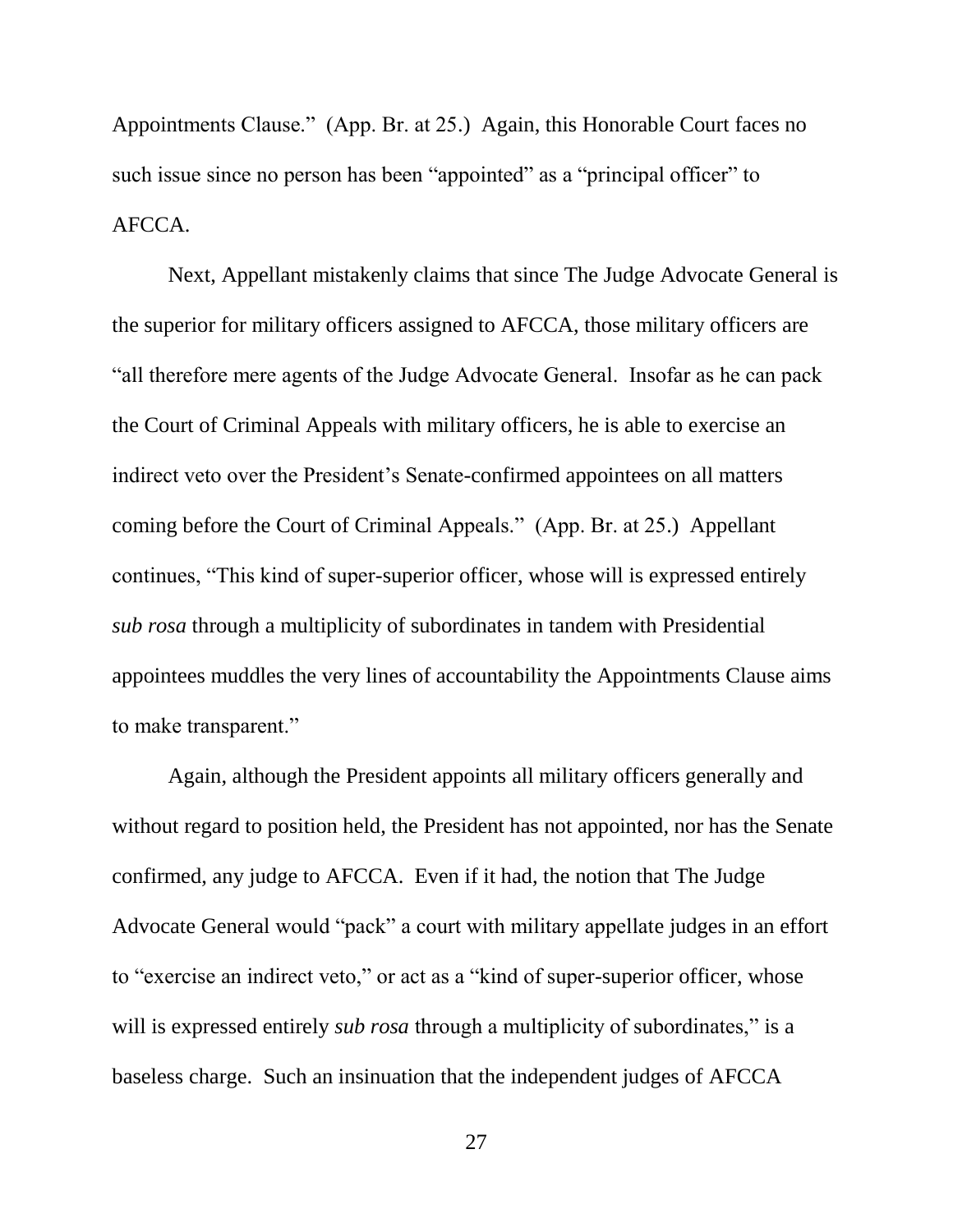Appointments Clause." (App. Br. at 25.) Again, this Honorable Court faces no such issue since no person has been "appointed" as a "principal officer" to AFCCA.

Next, Appellant mistakenly claims that since The Judge Advocate General is the superior for military officers assigned to AFCCA, those military officers are "all therefore mere agents of the Judge Advocate General. Insofar as he can pack the Court of Criminal Appeals with military officers, he is able to exercise an indirect veto over the President's Senate-confirmed appointees on all matters coming before the Court of Criminal Appeals." (App. Br. at 25.) Appellant continues, "This kind of super-superior officer, whose will is expressed entirely *sub rosa* through a multiplicity of subordinates in tandem with Presidential appointees muddles the very lines of accountability the Appointments Clause aims to make transparent."

Again, although the President appoints all military officers generally and without regard to position held, the President has not appointed, nor has the Senate confirmed, any judge to AFCCA. Even if it had, the notion that The Judge Advocate General would "pack" a court with military appellate judges in an effort to "exercise an indirect veto," or act as a "kind of super-superior officer, whose will is expressed entirely *sub rosa* through a multiplicity of subordinates," is a baseless charge. Such an insinuation that the independent judges of AFCCA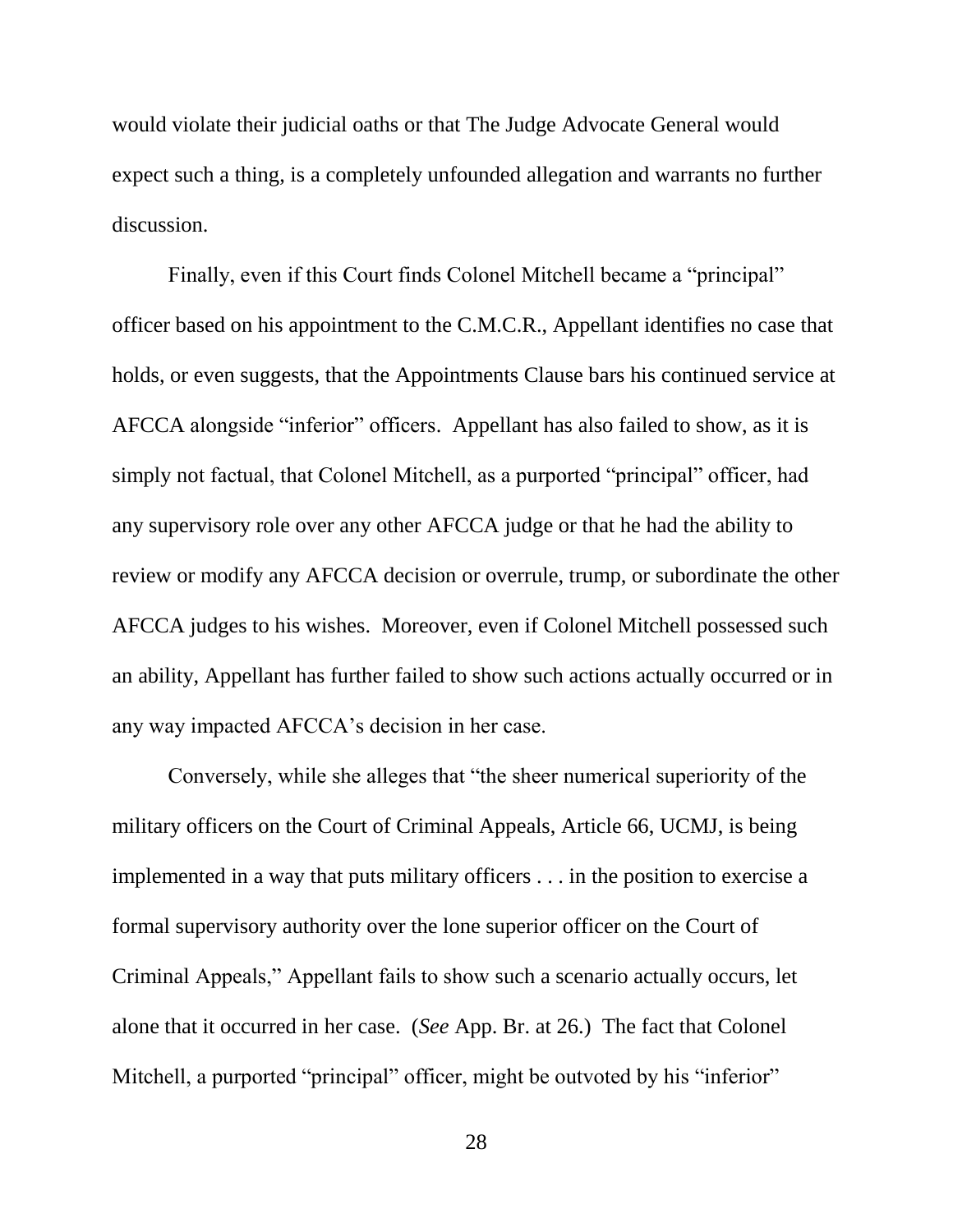would violate their judicial oaths or that The Judge Advocate General would expect such a thing, is a completely unfounded allegation and warrants no further discussion.

Finally, even if this Court finds Colonel Mitchell became a "principal" officer based on his appointment to the C.M.C.R., Appellant identifies no case that holds, or even suggests, that the Appointments Clause bars his continued service at AFCCA alongside "inferior" officers. Appellant has also failed to show, as it is simply not factual, that Colonel Mitchell, as a purported "principal" officer, had any supervisory role over any other AFCCA judge or that he had the ability to review or modify any AFCCA decision or overrule, trump, or subordinate the other AFCCA judges to his wishes. Moreover, even if Colonel Mitchell possessed such an ability, Appellant has further failed to show such actions actually occurred or in any way impacted AFCCA's decision in her case.

Conversely, while she alleges that "the sheer numerical superiority of the military officers on the Court of Criminal Appeals, Article 66, UCMJ, is being implemented in a way that puts military officers . . . in the position to exercise a formal supervisory authority over the lone superior officer on the Court of Criminal Appeals," Appellant fails to show such a scenario actually occurs, let alone that it occurred in her case. (*See* App. Br. at 26.) The fact that Colonel Mitchell, a purported "principal" officer, might be outvoted by his "inferior"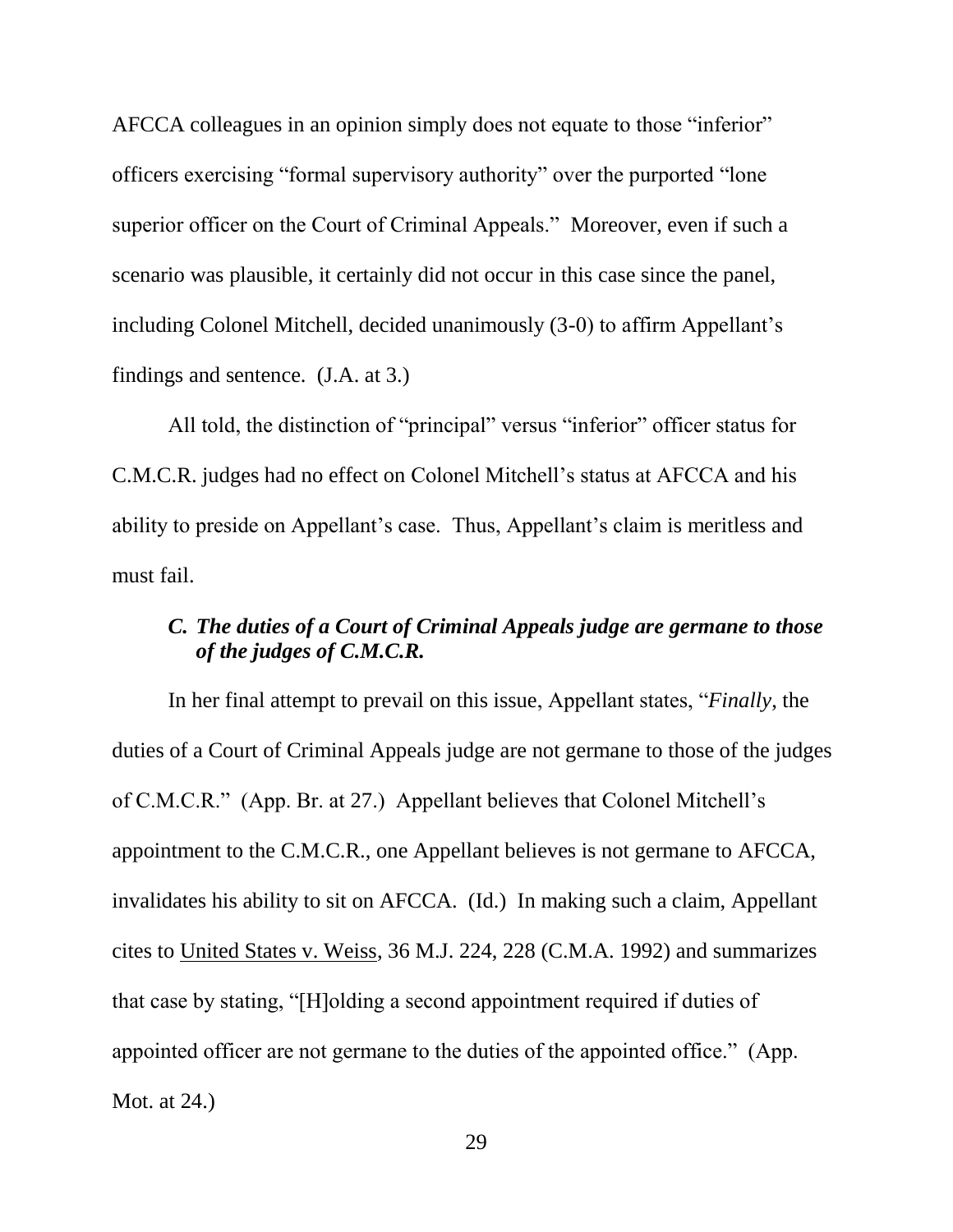AFCCA colleagues in an opinion simply does not equate to those "inferior" officers exercising "formal supervisory authority" over the purported "lone superior officer on the Court of Criminal Appeals." Moreover, even if such a scenario was plausible, it certainly did not occur in this case since the panel, including Colonel Mitchell, decided unanimously (3-0) to affirm Appellant's findings and sentence. (J.A. at 3.)

All told, the distinction of "principal" versus "inferior" officer status for C.M.C.R. judges had no effect on Colonel Mitchell's status at AFCCA and his ability to preside on Appellant's case. Thus, Appellant's claim is meritless and must fail.

## *C. The duties of a Court of Criminal Appeals judge are germane to those of the judges of C.M.C.R.*

In her final attempt to prevail on this issue, Appellant states, "*Finally*, the duties of a Court of Criminal Appeals judge are not germane to those of the judges of C.M.C.R." (App. Br. at 27.) Appellant believes that Colonel Mitchell's appointment to the C.M.C.R., one Appellant believes is not germane to AFCCA, invalidates his ability to sit on AFCCA. (Id.) In making such a claim, Appellant cites to United States v. Weiss, 36 M.J. 224, 228 (C.M.A. 1992) and summarizes that case by stating, "[H]olding a second appointment required if duties of appointed officer are not germane to the duties of the appointed office." (App. Mot. at 24.)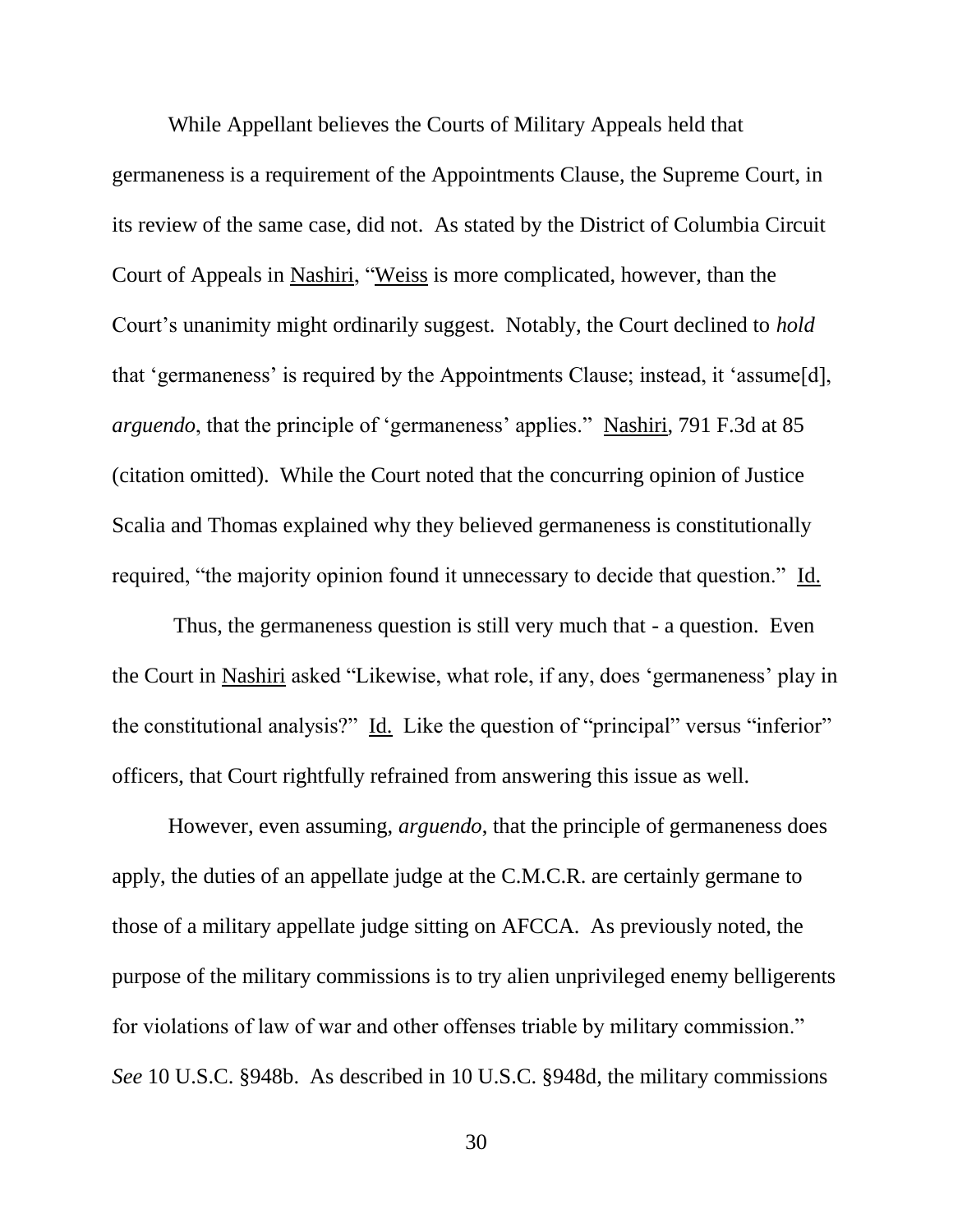While Appellant believes the Courts of Military Appeals held that germaneness is a requirement of the Appointments Clause, the Supreme Court, in its review of the same case, did not. As stated by the District of Columbia Circuit Court of Appeals in Nashiri, "Weiss is more complicated, however, than the Court's unanimity might ordinarily suggest. Notably, the Court declined to *hold* that 'germaneness' is required by the Appointments Clause; instead, it 'assume[d], *arguendo*, that the principle of 'germaneness' applies." Nashiri, 791 F.3d at 85 (citation omitted). While the Court noted that the concurring opinion of Justice Scalia and Thomas explained why they believed germaneness is constitutionally required, "the majority opinion found it unnecessary to decide that question." Id.

Thus, the germaneness question is still very much that - a question. Even the Court in Nashiri asked "Likewise, what role, if any, does 'germaneness' play in the constitutional analysis?" Id. Like the question of "principal" versus "inferior" officers, that Court rightfully refrained from answering this issue as well.

However, even assuming, *arguendo*, that the principle of germaneness does apply, the duties of an appellate judge at the C.M.C.R. are certainly germane to those of a military appellate judge sitting on AFCCA. As previously noted, the purpose of the military commissions is to try alien unprivileged enemy belligerents for violations of law of war and other offenses triable by military commission." *See* 10 U.S.C. §948b. As described in 10 U.S.C. §948d, the military commissions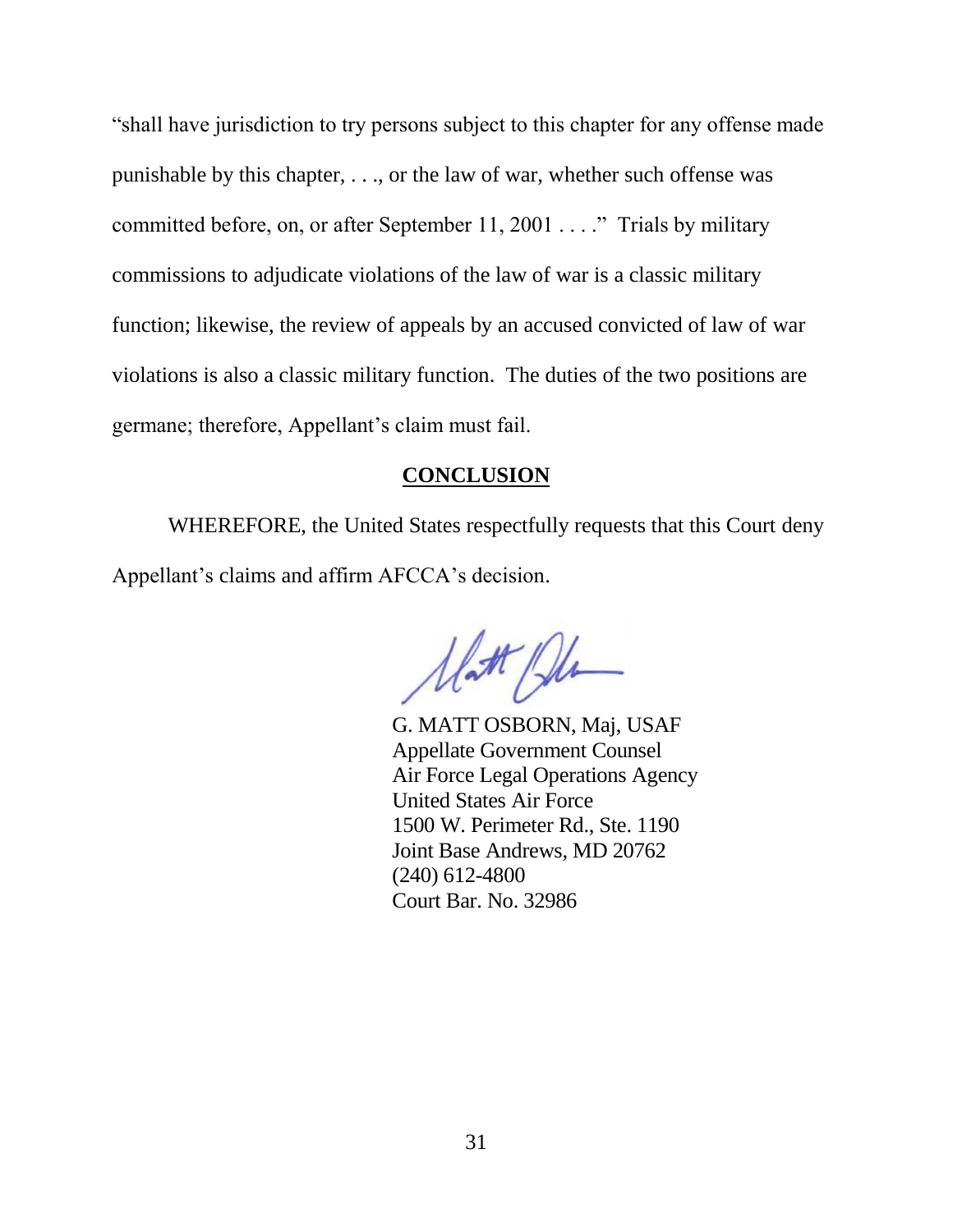"shall have jurisdiction to try persons subject to this chapter for any offense made punishable by this chapter, . . ., or the law of war, whether such offense was committed before, on, or after September 11, 2001 . . . ." Trials by military commissions to adjudicate violations of the law of war is a classic military function; likewise, the review of appeals by an accused convicted of law of war violations is also a classic military function. The duties of the two positions are germane; therefore, Appellant's claim must fail.

#### **CONCLUSION**

<span id="page-35-0"></span>WHEREFORE, the United States respectfully requests that this Court deny Appellant's claims and affirm AFCCA's decision.

Unt Ph

G. MATT OSBORN, Maj, USAF Appellate Government Counsel Air Force Legal Operations Agency United States Air Force 1500 W. Perimeter Rd., Ste. 1190 Joint Base Andrews, MD 20762 (240) 612-4800 Court Bar. No. 32986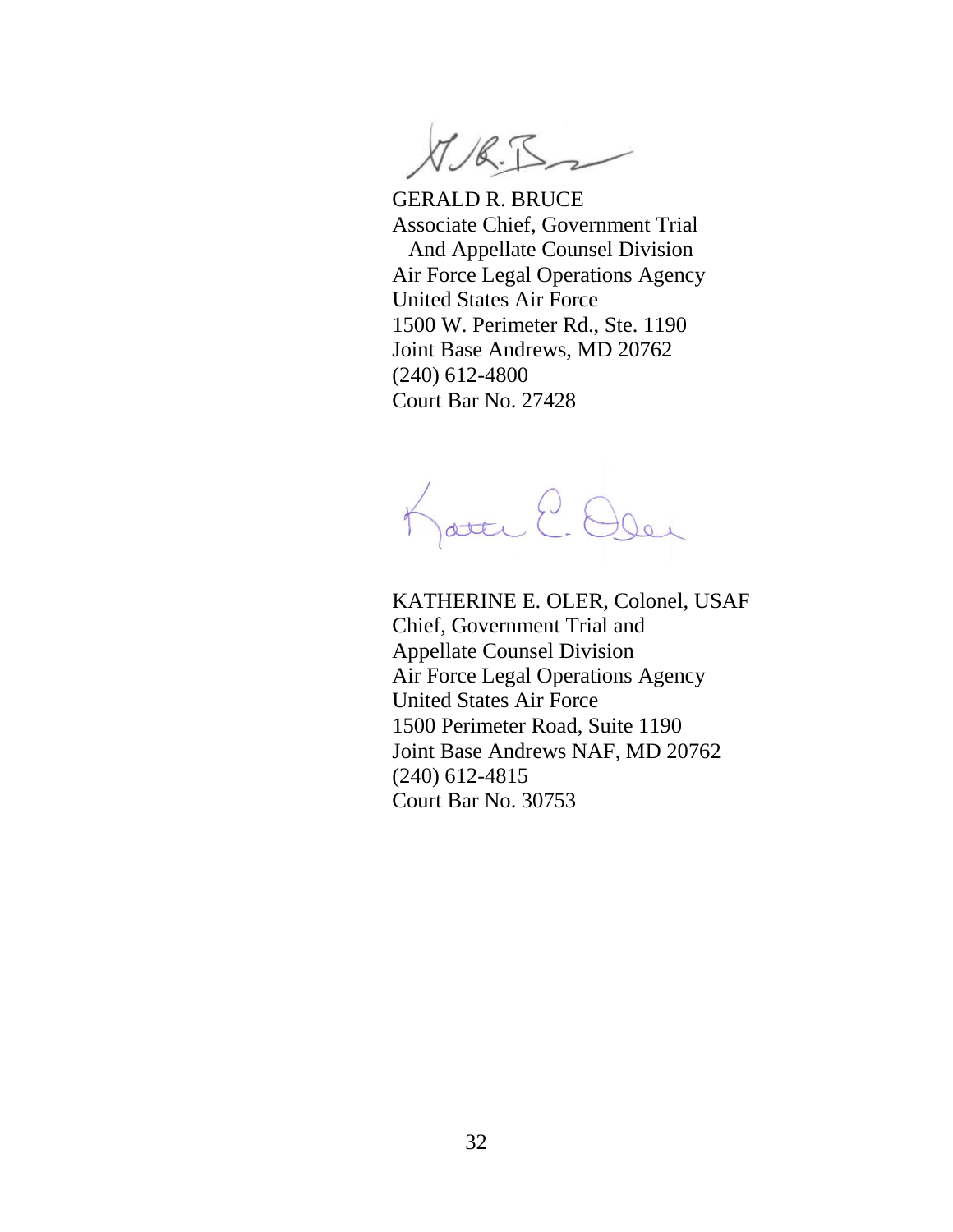$V/K.E_{2}$ 

GERALD R. BRUCE Associate Chief, Government Trial And Appellate Counsel Division Air Force Legal Operations Agency United States Air Force 1500 W. Perimeter Rd., Ste. 1190 Joint Base Andrews, MD 20762 (240) 612-4800 Court Bar No. 27428

Katte E. Oler

<span id="page-36-0"></span>KATHERINE E. OLER, Colonel, USAF Chief, Government Trial and Appellate Counsel Division Air Force Legal Operations Agency United States Air Force 1500 Perimeter Road, Suite 1190 Joint Base Andrews NAF, MD 20762 (240) 612-4815 Court Bar No. 30753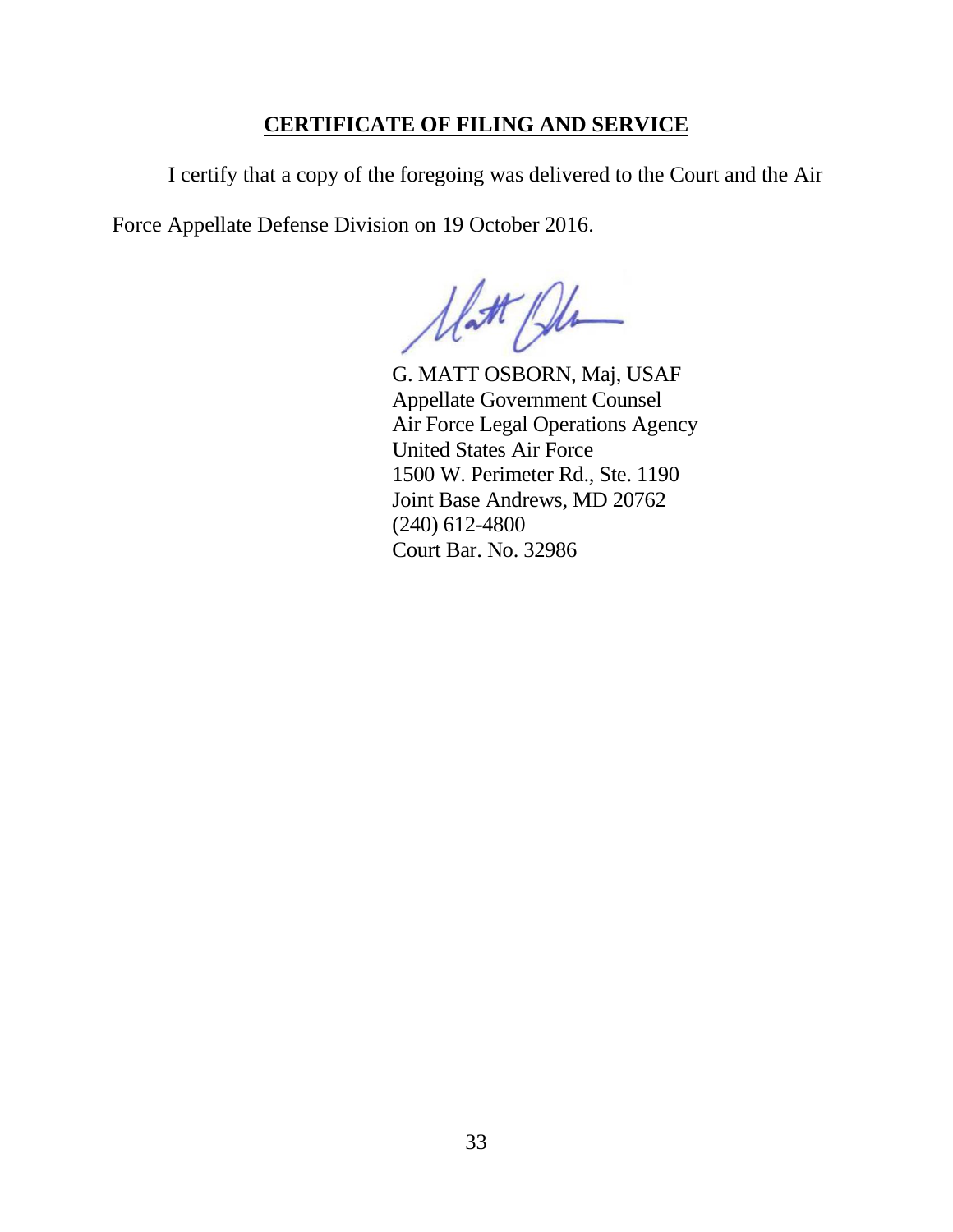# **CERTIFICATE OF FILING AND SERVICE**

I certify that a copy of the foregoing was delivered to the Court and the Air

Force Appellate Defense Division on 19 October 2016.

Ulatt Pla

G. MATT OSBORN, Maj, USAF Appellate Government Counsel Air Force Legal Operations Agency United States Air Force 1500 W. Perimeter Rd., Ste. 1190 Joint Base Andrews, MD 20762 (240) 612-4800 Court Bar. No. 32986